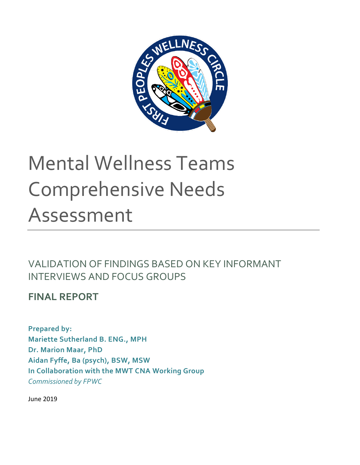

# Mental Wellness Teams Comprehensive Needs Assessment

VALIDATION OF FINDINGS BASED ON KEY INFORMANT INTERVIEWS AND FOCUS GROUPS

**FINAL REPORT** 

**Prepared by: Mariette Sutherland B. ENG., MPH Dr. Marion Maar, PhD Aidan Fyffe, Ba (psych), BSW, MSW In Collaboration with the MWT CNA Working Group** *Commissioned by FPWC*

June 2019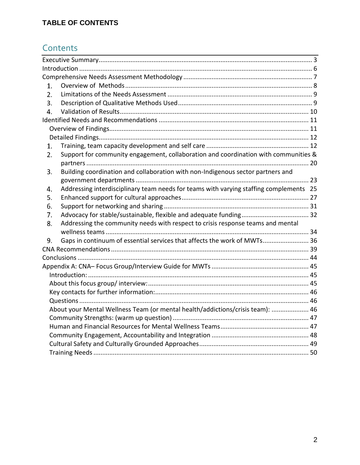# **TABLE OF CONTENTS**

# **Contents**

| 1.               |                                                                                        |  |  |  |  |  |
|------------------|----------------------------------------------------------------------------------------|--|--|--|--|--|
| 2.               |                                                                                        |  |  |  |  |  |
| 3.               |                                                                                        |  |  |  |  |  |
| $\overline{4}$ . |                                                                                        |  |  |  |  |  |
|                  |                                                                                        |  |  |  |  |  |
|                  |                                                                                        |  |  |  |  |  |
|                  |                                                                                        |  |  |  |  |  |
| 1.               |                                                                                        |  |  |  |  |  |
| 2.               | Support for community engagement, collaboration and coordination with communities &    |  |  |  |  |  |
|                  |                                                                                        |  |  |  |  |  |
| 3.               | Building coordination and collaboration with non-Indigenous sector partners and        |  |  |  |  |  |
|                  |                                                                                        |  |  |  |  |  |
| 4.               | Addressing interdisciplinary team needs for teams with varying staffing complements 25 |  |  |  |  |  |
| 5.               |                                                                                        |  |  |  |  |  |
| 6.               |                                                                                        |  |  |  |  |  |
| 7.               |                                                                                        |  |  |  |  |  |
| 8.               | Addressing the community needs with respect to crisis response teams and mental        |  |  |  |  |  |
|                  |                                                                                        |  |  |  |  |  |
| 9.               | Gaps in continuum of essential services that affects the work of MWTs 36               |  |  |  |  |  |
|                  |                                                                                        |  |  |  |  |  |
|                  |                                                                                        |  |  |  |  |  |
|                  |                                                                                        |  |  |  |  |  |
|                  |                                                                                        |  |  |  |  |  |
|                  |                                                                                        |  |  |  |  |  |
|                  |                                                                                        |  |  |  |  |  |
|                  |                                                                                        |  |  |  |  |  |
|                  | About your Mental Wellness Team (or mental health/addictions/crisis team):  46         |  |  |  |  |  |
|                  |                                                                                        |  |  |  |  |  |
|                  |                                                                                        |  |  |  |  |  |
|                  |                                                                                        |  |  |  |  |  |
|                  |                                                                                        |  |  |  |  |  |
|                  |                                                                                        |  |  |  |  |  |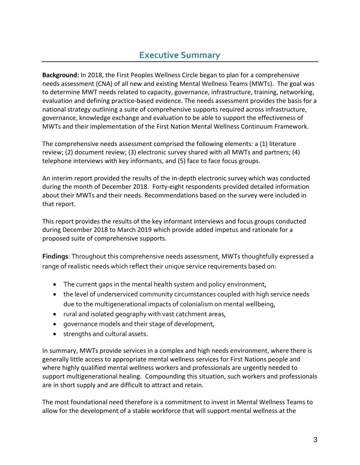# **Executive Summary**

<span id="page-2-0"></span>**Background:** In 2018, the First Peoples Wellness Circle began to plan for a comprehensive needs assessment (CNA) of all new and existing Mental Wellness Teams (MWTs). The goal was to determine MWT needs related to capacity, governance, infrastructure, training, networking, evaluation and defining practice-based evidence. The needs assessment provides the basis for a national strategy outlining a suite of comprehensive supports required across infrastructure, governance, knowledge exchange and evaluation to be able to support the effectiveness of MWTs and their implementation of the First Nation Mental Wellness Continuum Framework.

The comprehensive needs assessment comprised the following elements: a (1) literature review; (2) document review; (3) electronic survey shared with all MWTs and partners; (4) telephone interviews with key informants, and (5) face to face focus groups.

An interim report provided the results of the in-depth electronic survey which was conducted during the month of December 2018. Forty-eight respondents provided detailed information about their MWTs and their needs. Recommendations based on the survey were included in that report.

This report provides the results of the key informant interviews and focus groups conducted during December 2018 to March 2019 which provide added impetus and rationale for a proposed suite of comprehensive supports.

**Findings**: Throughout this comprehensive needs assessment, MWTs thoughtfully expressed a range of realistic needs which reflect their unique service requirements based on:

- The current gaps in the mental health system and policy environment,
- the level of underserviced community circumstances coupled with high service needs due to the multigenerational impacts of colonialism on mental wellbeing,
- rural and isolated geography with vast catchment areas,
- governance models and their stage of development,
- strengths and cultural assets.

In summary, MWTs provide services in a complex and high needs environment, where there is generally little access to appropriate mental wellness services for First Nations people and where highly qualified mental wellness workers and professionals are urgently needed to support multigenerational healing. Compounding this situation, such workers and professionals are in short supply and are difficult to attract and retain.

The most foundational need therefore is a commitment to invest in Mental Wellness Teams to allow for the development of a stable workforce that will support mental wellness at the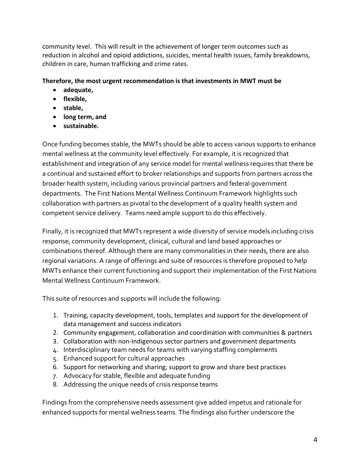community level. This will result in the achievement of longer term outcomes such as reduction in alcohol and opioid addictions, suicides, mental health issues, family breakdowns, children in care, human trafficking and crime rates.

#### **Therefore, the most urgent recommendation is that investments in MWT must be**

- **adequate,**
- **flexible,**
- **stable,**
- **long term, and**
- **sustainable.**

Once funding becomes stable, the MWTs should be able to access various supports to enhance mental wellness at the community level effectively. For example, it is recognized that establishment and integration of any service model for mental wellness requires that there be a continual and sustained effort to broker relationships and supports from partners across the broader health system, including various provincial partners and federal government departments. The First Nations Mental Wellness Continuum Framework highlights such collaboration with partners as pivotal to the development of a quality health system and competent service delivery. Teams need ample support to do this effectively.

Finally, it is recognized that MWTs represent a wide diversity of service models including crisis response, community development, clinical, cultural and land based approaches or combinations thereof. Although there are many commonalities in their needs, there are also regional variations. A range of offerings and suite of resources is therefore proposed to help MWTs enhance their current functioning and support their implementation of the First Nations Mental Wellness Continuum Framework.

This suite of resources and supports will include the following:

- 1. Training, capacity development, tools, templates and support for the development of data management and success indicators
- 2. Community engagement, collaboration and coordination with communities & partners
- 3. Collaboration with non-Indigenous sector partners and government departments
- 4. Interdisciplinary team needs for teams with varying staffing complements
- 5. Enhanced support for cultural approaches
- 6. Support for networking and sharing; support to grow and share best practices
- 7. Advocacy for stable, flexible and adequate funding
- 8. Addressing the unique needs of crisis response teams

Findings from the comprehensive needs assessment give added impetus and rationale for enhanced supports for mental wellness teams. The findings also further underscore the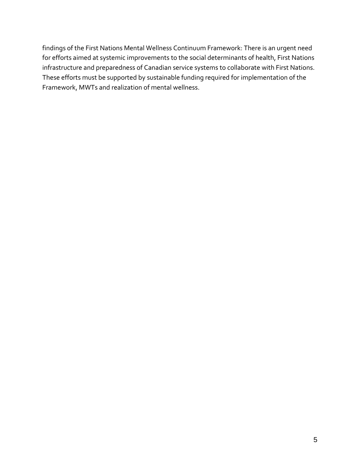findings of the First Nations Mental Wellness Continuum Framework: There is an urgent need for efforts aimed at systemic improvements to the social determinants of health, First Nations infrastructure and preparedness of Canadian service systems to collaborate with First Nations. These efforts must be supported by sustainable funding required for implementation of the Framework, MWTs and realization of mental wellness.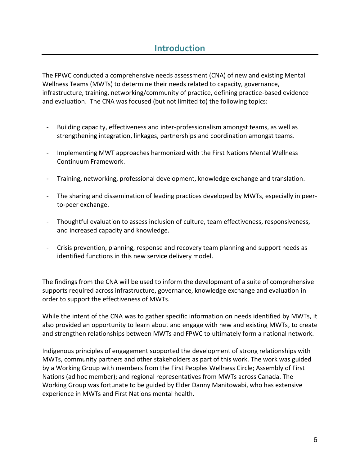<span id="page-5-0"></span>The FPWC conducted a comprehensive needs assessment (CNA) of new and existing Mental Wellness Teams (MWTs) to determine their needs related to capacity, governance, infrastructure, training, networking/community of practice, defining practice-based evidence and evaluation. The CNA was focused (but not limited to) the following topics:

- Building capacity, effectiveness and inter-professionalism amongst teams, as well as strengthening integration, linkages, partnerships and coordination amongst teams.
- Implementing MWT approaches harmonized with the First Nations Mental Wellness Continuum Framework.
- Training, networking, professional development, knowledge exchange and translation.
- The sharing and dissemination of leading practices developed by MWTs, especially in peerto-peer exchange.
- Thoughtful evaluation to assess inclusion of culture, team effectiveness, responsiveness, and increased capacity and knowledge.
- Crisis prevention, planning, response and recovery team planning and support needs as identified functions in this new service delivery model.

The findings from the CNA will be used to inform the development of a suite of comprehensive supports required across infrastructure, governance, knowledge exchange and evaluation in order to support the effectiveness of MWTs.

While the intent of the CNA was to gather specific information on needs identified by MWTs, it also provided an opportunity to learn about and engage with new and existing MWTs, to create and strengthen relationships between MWTs and FPWC to ultimately form a national network.

Indigenous principles of engagement supported the development of strong relationships with MWTs, community partners and other stakeholders as part of this work. The work was guided by a Working Group with members from the First Peoples Wellness Circle; Assembly of First Nations (ad hoc member); and regional representatives from MWTs across Canada. The Working Group was fortunate to be guided by Elder Danny Manitowabi, who has extensive experience in MWTs and First Nations mental health.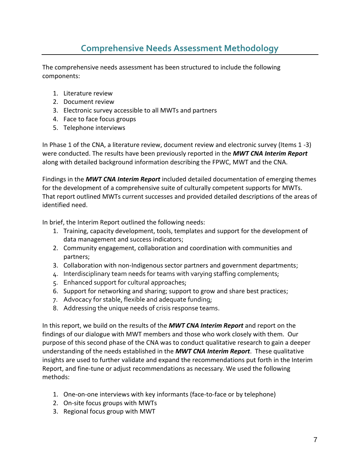# **Comprehensive Needs Assessment Methodology**

<span id="page-6-0"></span>The comprehensive needs assessment has been structured to include the following components:

- 1. Literature review
- 2. Document review
- 3. Electronic survey accessible to all MWTs and partners
- 4. Face to face focus groups
- 5. Telephone interviews

In Phase 1 of the CNA, a literature review, document review and electronic survey (Items 1 -3) were conducted. The results have been previously reported in the *MWT CNA Interim Report* along with detailed background information describing the FPWC, MWT and the CNA.

Findings in the *MWT CNA Interim Report* included detailed documentation of emerging themes for the development of a comprehensive suite of culturally competent supports for MWTs. That report outlined MWTs current successes and provided detailed descriptions of the areas of identified need.

In brief, the Interim Report outlined the following needs:

- 1. Training, capacity development, tools, templates and support for the development of data management and success indicators;
- 2. Community engagement, collaboration and coordination with communities and partners;
- 3. Collaboration with non-Indigenous sector partners and government departments;
- 4. Interdisciplinary team needs for teams with varying staffing complements;
- 5. Enhanced support for cultural approaches;
- 6. Support for networking and sharing; support to grow and share best practices;
- 7. Advocacy for stable, flexible and adequate funding;
- 8. Addressing the unique needs of crisis response teams.

In this report, we build on the results of the *MWT CNA Interim Report* and report on the findings of our dialogue with MWT members and those who work closely with them. Our purpose of this second phase of the CNA was to conduct qualitative research to gain a deeper understanding of the needs established in the *MWT CNA Interim Report*. These qualitative insights are used to further validate and expand the recommendations put forth in the Interim Report, and fine-tune or adjust recommendations as necessary. We used the following methods:

- 1. One-on-one interviews with key informants (face-to-face or by telephone)
- 2. On-site focus groups with MWTs
- 3. Regional focus group with MWT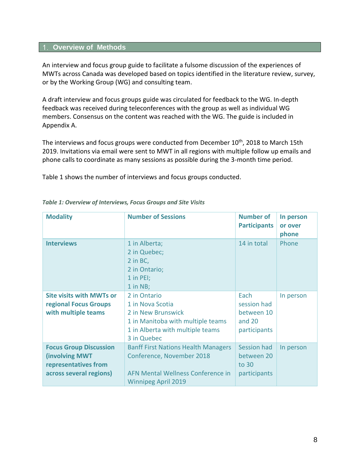#### <span id="page-7-0"></span>**1. Overview of Methods**

An interview and focus group guide to facilitate a fulsome discussion of the experiences of MWTs across Canada was developed based on topics identified in the literature review, survey, or by the Working Group (WG) and consulting team.

A draft interview and focus groups guide was circulated for feedback to the WG. In-depth feedback was received during teleconferences with the group as well as individual WG members. Consensus on the content was reached with the WG. The guide is included in Appendix A.

The interviews and focus groups were conducted from December 10<sup>th</sup>, 2018 to March 15th 2019. Invitations via email were sent to MWT in all regions with multiple follow up emails and phone calls to coordinate as many sessions as possible during the 3-month time period.

Table 1 shows the number of interviews and focus groups conducted.

| <b>Modality</b>                                                                                           | <b>Number of Sessions</b>                                                                                                                      | <b>Number of</b><br><b>Participants</b>                     | In person<br>or over<br>phone |
|-----------------------------------------------------------------------------------------------------------|------------------------------------------------------------------------------------------------------------------------------------------------|-------------------------------------------------------------|-------------------------------|
| <b>Interviews</b>                                                                                         | 1 in Alberta;<br>2 in Quebec;<br>2 in BC,<br>2 in Ontario;<br>1 in PEI;<br>$1$ in NB;                                                          | 14 in total                                                 | Phone                         |
| <b>Site visits with MWTs or</b><br>regional Focus Groups<br>with multiple teams                           | 2 in Ontario<br>1 in Nova Scotia<br>2 in New Brunswick<br>1 in Manitoba with multiple teams<br>1 in Alberta with multiple teams<br>3 in Quebec | Each<br>session had<br>between 10<br>and 20<br>participants | In person                     |
| <b>Focus Group Discussion</b><br><b>(involving MWT</b><br>representatives from<br>across several regions) | <b>Banff First Nations Health Managers</b><br>Conference, November 2018<br>AFN Mental Wellness Conference in<br><b>Winnipeg April 2019</b>     | <b>Session had</b><br>between 20<br>to 30<br>participants   | In person                     |

*Table 1: Overview of Interviews, Focus Groups and Site Visits*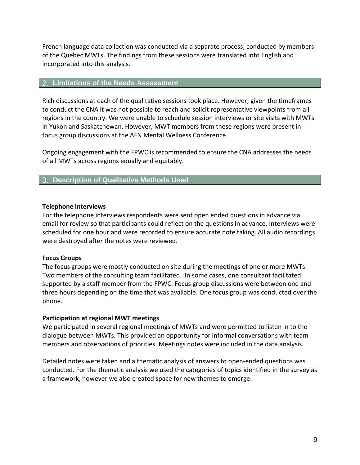French language data collection was conducted via a separate process, conducted by members of the Quebec MWTs. The findings from these sessions were translated into English and incorporated into this analysis.

#### <span id="page-8-0"></span>**Limitations of the Needs Assessment**

Rich discussions at each of the qualitative sessions took place. However, given the timeframes to conduct the CNA it was not possible to reach and solicit representative viewpoints from all regions in the country. We were unable to schedule session interviews or site visits with MWTs in Yukon and Saskatchewan. However, MWT members from these regions were present in focus group discussions at the AFN Mental Wellness Conference.

Ongoing engagement with the FPWC is recommended to ensure the CNA addresses the needs of all MWTs across regions equally and equitably.

#### <span id="page-8-1"></span>**Description of Qualitative Methods Used**

#### **Telephone Interviews**

For the telephone interviews respondents were sent open ended questions in advance via email for review so that participants could reflect on the questions in advance. Interviews were scheduled for one hour and were recorded to ensure accurate note taking. All audio recordings were destroyed after the notes were reviewed.

#### **Focus Groups**

The focus groups were mostly conducted on site during the meetings of one or more MWTs. Two members of the consulting team facilitated. In some cases, one consultant facilitated supported by a staff member from the FPWC. Focus group discussions were between one and three hours depending on the time that was available. One focus group was conducted over the phone.

#### **Participation at regional MWT meetings**

We participated in several regional meetings of MWTs and were permitted to listen in to the dialogue between MWTs. This provided an opportunity for informal conversations with team members and observations of priorities. Meetings notes were included in the data analysis.

Detailed notes were taken and a thematic analysis of answers to open-ended questions was conducted. For the thematic analysis we used the categories of topics identified in the survey as a framework, however we also created space for new themes to emerge.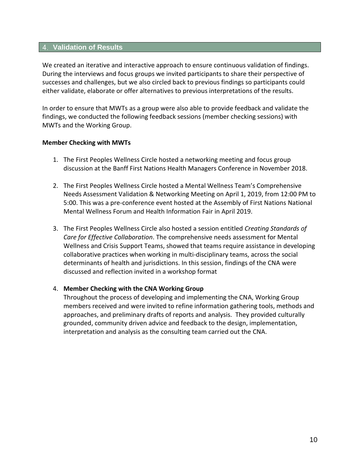#### <span id="page-9-0"></span>**Validation of Results**

We created an iterative and interactive approach to ensure continuous validation of findings. During the interviews and focus groups we invited participants to share their perspective of successes and challenges, but we also circled back to previous findings so participants could either validate, elaborate or offer alternatives to previous interpretations of the results.

In order to ensure that MWTs as a group were also able to provide feedback and validate the findings, we conducted the following feedback sessions (member checking sessions) with MWTs and the Working Group.

#### **Member Checking with MWTs**

- 1. The First Peoples Wellness Circle hosted a networking meeting and focus group discussion at the Banff First Nations Health Managers Conference in November 2018.
- 2. The First Peoples Wellness Circle hosted a Mental Wellness Team's Comprehensive Needs Assessment Validation & Networking Meeting on April 1, 2019, from 12:00 PM to 5:00. This was a pre-conference event hosted at the Assembly of First Nations National Mental Wellness Forum and Health Information Fair in April 2019.
- 3. The First Peoples Wellness Circle also hosted a session entitled *Creating Standards of Care for Effective Collaboration*. The comprehensive needs assessment for Mental Wellness and Crisis Support Teams, showed that teams require assistance in developing collaborative practices when working in multi-disciplinary teams, across the social determinants of health and jurisdictions. In this session, findings of the CNA were discussed and reflection invited in a workshop format

#### 4. **Member Checking with the CNA Working Group**

Throughout the process of developing and implementing the CNA, Working Group members received and were invited to refine information gathering tools, methods and approaches, and preliminary drafts of reports and analysis. They provided culturally grounded, community driven advice and feedback to the design, implementation, interpretation and analysis as the consulting team carried out the CNA.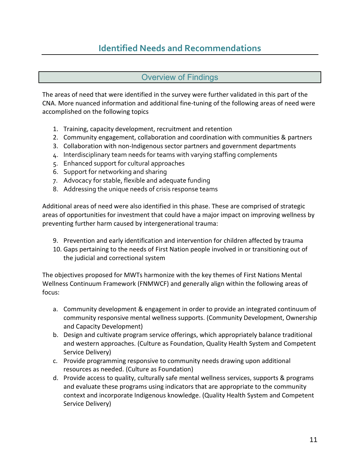# **Identified Needs and Recommendations**

#### Overview of Findings

<span id="page-10-1"></span><span id="page-10-0"></span>The areas of need that were identified in the survey were further validated in this part of the CNA. More nuanced information and additional fine-tuning of the following areas of need were accomplished on the following topics

- 1. Training, capacity development, recruitment and retention
- 2. Community engagement, collaboration and coordination with communities & partners
- 3. Collaboration with non-Indigenous sector partners and government departments
- 4. Interdisciplinary team needs for teams with varying staffing complements
- 5. Enhanced support for cultural approaches
- 6. Support for networking and sharing
- 7. Advocacy for stable, flexible and adequate funding
- 8. Addressing the unique needs of crisis response teams

Additional areas of need were also identified in this phase. These are comprised of strategic areas of opportunities for investment that could have a major impact on improving wellness by preventing further harm caused by intergenerational trauma:

- 9. Prevention and early identification and intervention for children affected by trauma
- 10. Gaps pertaining to the needs of First Nation people involved in or transitioning out of the judicial and correctional system

The objectives proposed for MWTs harmonize with the key themes of First Nations Mental Wellness Continuum Framework (FNMWCF) and generally align within the following areas of focus:

- a. Community development & engagement in order to provide an integrated continuum of community responsive mental wellness supports. (Community Development, Ownership and Capacity Development)
- b. Design and cultivate program service offerings, which appropriately balance traditional and western approaches. (Culture as Foundation, Quality Health System and Competent Service Delivery)
- c. Provide programming responsive to community needs drawing upon additional resources as needed. (Culture as Foundation)
- d. Provide access to quality, culturally safe mental wellness services, supports & programs and evaluate these programs using indicators that are appropriate to the community context and incorporate Indigenous knowledge. (Quality Health System and Competent Service Delivery)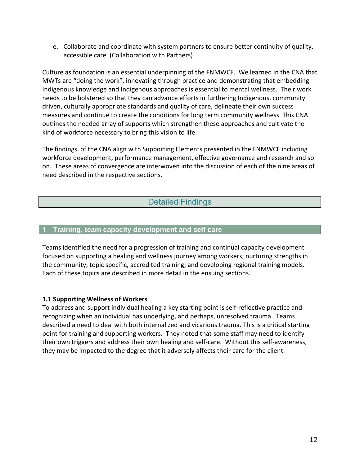e. Collaborate and coordinate with system partners to ensure better continuity of quality, accessible care. (Collaboration with Partners)

Culture as foundation is an essential underpinning of the FNMWCF. We learned in the CNA that MWTs are "doing the work", innovating through practice and demonstrating that embedding Indigenous knowledge and Indigenous approaches is essential to mental wellness. Their work needs to be bolstered so that they can advance efforts in furthering Indigenous, community driven, culturally appropriate standards and quality of care, delineate their own success measures and continue to create the conditions for long term community wellness. This CNA outlines the needed array of supports which strengthen these approaches and cultivate the kind of workforce necessary to bring this vision to life.

The findings of the CNA align with Supporting Elements presented in the FNMWCF including workforce development, performance management, effective governance and research and so on. These areas of convergence are interwoven into the discussion of each of the nine areas of need described in the respective sections.

# Detailed Findings

#### <span id="page-11-1"></span><span id="page-11-0"></span>**Training, team capacity development and self care**

Teams identified the need for a progression of training and continual capacity development focused on supporting a healing and wellness journey among workers; nurturing strengths in the community; topic specific, accredited training; and developing regional training models. Each of these topics are described in more detail in the ensuing sections.

#### **1.1 Supporting Wellness of Workers**

To address and support individual healing a key starting point is self-reflective practice and recognizing when an individual has underlying, and perhaps, unresolved trauma. Teams described a need to deal with both internalized and vicarious trauma. This is a critical starting point for training and supporting workers. They noted that some staff may need to identify their own triggers and address their own healing and self-care. Without this self-awareness, they may be impacted to the degree that it adversely affects their care for the client.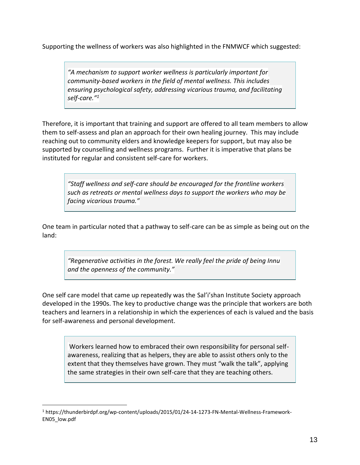Supporting the wellness of workers was also highlighted in the FNMWCF which suggested:

*"A mechanism to support worker wellness is particularly important for community-based workers in the field of mental wellness. This includes ensuring psychological safety, addressing vicarious trauma, and facilitating self-care." 1*

Therefore, it is important that training and support are offered to all team members to allow them to self-assess and plan an approach for their own healing journey. This may include reaching out to community elders and knowledge keepers for support, but may also be supported by counselling and wellness programs. Further it is imperative that plans be instituted for regular and consistent self-care for workers.

*"Staff wellness and self-care should be encouraged for the frontline workers such as retreats or mental wellness days to support the workers who may be facing vicarious trauma."*

One team in particular noted that a pathway to self-care can be as simple as being out on the land:

*"Regenerative activities in the forest. We really feel the pride of being Innu and the openness of the community."*

One self care model that came up repeatedly was the Sal'i'shan Institute Society approach developed in the 1990s. The key to productive change was the principle that workers are both teachers and learners in a relationship in which the experiences of each is valued and the basis for self-awareness and personal development.

Workers learned how to embraced their own responsibility for personal selfawareness, realizing that as helpers, they are able to assist others only to the extent that they themselves have grown. They must "walk the talk", applying the same strategies in their own self-care that they are teaching others.

<sup>1</sup> https://thunderbirdpf.org/wp-content/uploads/2015/01/24-14-1273-FN-Mental-Wellness-Framework-EN05\_low.pdf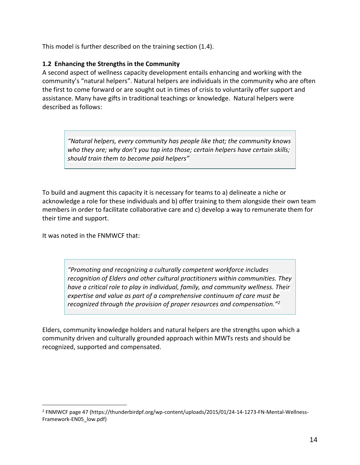This model is further described on the training section (1.4).

#### **1.2 Enhancing the Strengths in the Community**

A second aspect of wellness capacity development entails enhancing and working with the community's "natural helpers". Natural helpers are individuals in the community who are often the first to come forward or are sought out in times of crisis to voluntarily offer support and assistance. Many have gifts in traditional teachings or knowledge. Natural helpers were described as follows:

*"Natural helpers, every community has people like that; the community knows who they are; why don't you tap into those; certain helpers have certain skills; should train them to become paid helpers"*

To build and augment this capacity it is necessary for teams to a) delineate a niche or acknowledge a role for these individuals and b) offer training to them alongside their own team members in order to facilitate collaborative care and c) develop a way to remunerate them for their time and support.

It was noted in the FNMWCF that:

*"Promoting and recognizing a culturally competent workforce includes recognition of Elders and other cultural practitioners within communities. They have a critical role to play in individual, family, and community wellness. Their expertise and value as part of a comprehensive continuum of care must be recognized through the provision of proper resources and compensation." 2*

Elders, community knowledge holders and natural helpers are the strengths upon which a community driven and culturally grounded approach within MWTs rests and should be recognized, supported and compensated.

<sup>2</sup> FNMWCF page 47 (https://thunderbirdpf.org/wp-content/uploads/2015/01/24-14-1273-FN-Mental-Wellness-Framework-EN05\_low.pdf)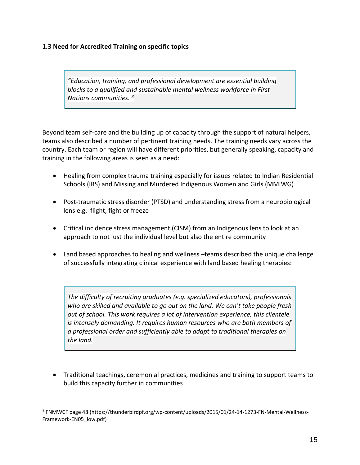#### **1.3 Need for Accredited Training on specific topics**

*"Education, training, and professional development are essential building blocks to a qualified and sustainable mental wellness workforce in First Nations communities. <sup>3</sup>*

Beyond team self-care and the building up of capacity through the support of natural helpers, teams also described a number of pertinent training needs. The training needs vary across the country. Each team or region will have different priorities, but generally speaking, capacity and training in the following areas is seen as a need:

- Healing from complex trauma training especially for issues related to Indian Residential Schools (IRS) and Missing and Murdered Indigenous Women and Girls (MMIWG)
- Post-traumatic stress disorder (PTSD) and understanding stress from a neurobiological lens e.g. flight, fight or freeze
- Critical incidence stress management (CISM) from an Indigenous lens to look at an approach to not just the individual level but also the entire community
- Land based approaches to healing and wellness –teams described the unique challenge of successfully integrating clinical experience with land based healing therapies:

*The difficulty of recruiting graduates (e.g. specialized educators), professionals who are skilled and available to go out on the land. We can't take people fresh out of school. This work requires a lot of intervention experience, this clientele is intensely demanding. It requires human resources who are both members of a professional order and sufficiently able to adapt to traditional therapies on the land.*

• Traditional teachings, ceremonial practices, medicines and training to support teams to build this capacity further in communities

<sup>&</sup>lt;sup>3</sup> FNMWCF page 48 (https://thunderbirdpf.org/wp-content/uploads/2015/01/24-14-1273-FN-Mental-Wellness-Framework-EN05\_low.pdf)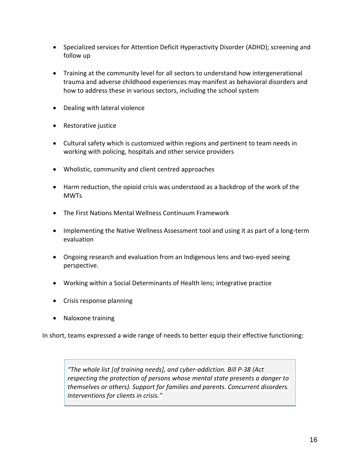- Specialized services for Attention Deficit Hyperactivity Disorder (ADHD); screening and follow up
- Training at the community level for all sectors to understand how intergenerational trauma and adverse childhood experiences may manifest as behavioral disorders and how to address these in various sectors, including the school system
- Dealing with lateral violence
- Restorative justice
- Cultural safety which is customized within regions and pertinent to team needs in working with policing, hospitals and other service providers
- Wholistic, community and client centred approaches
- Harm reduction, the opioid crisis was understood as a backdrop of the work of the **MWTs**
- The First Nations Mental Wellness Continuum Framework
- Implementing the Native Wellness Assessment tool and using it as part of a long-term evaluation
- Ongoing research and evaluation from an Indigenous lens and two-eyed seeing perspective.
- Working within a Social Determinants of Health lens; integrative practice
- Crisis response planning
- Naloxone training

In short, teams expressed a wide range of needs to better equip their effective functioning:

*"The whole list [of training needs], and cyber-addiction. Bill P-38 (Act respecting the protection of persons whose mental state presents a danger to themselves or others). Support for families and parents. Concurrent disorders. Interventions for clients in crisis."*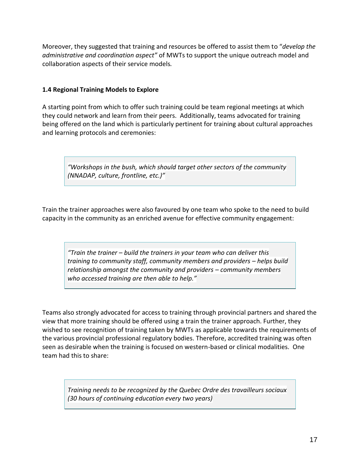Moreover, they suggested that training and resources be offered to assist them to "*develop the administrative and coordination aspect"* of MWTs to support the unique outreach model and collaboration aspects of their service models*.*

#### **1.4 Regional Training Models to Explore**

A starting point from which to offer such training could be team regional meetings at which they could network and learn from their peers. Additionally, teams advocated for training being offered on the land which is particularly pertinent for training about cultural approaches and learning protocols and ceremonies:

*"Workshops in the bush, which should target other sectors of the community (NNADAP, culture, frontline, etc.)"*

Train the trainer approaches were also favoured by one team who spoke to the need to build capacity in the community as an enriched avenue for effective community engagement:

*"Train the trainer – build the trainers in your team who can deliver this training to community staff, community members and providers – helps build relationship amongst the community and providers – community members who accessed training are then able to help."*

Teams also strongly advocated for access to training through provincial partners and shared the view that more training should be offered using a train the trainer approach. Further, they wished to see recognition of training taken by MWTs as applicable towards the requirements of the various provincial professional regulatory bodies. Therefore, accredited training was often seen as desirable when the training is focused on western-based or clinical modalities. One team had this to share:

*Training needs to be recognized by the Quebec Ordre des travailleurs sociaux (30 hours of continuing education every two years)*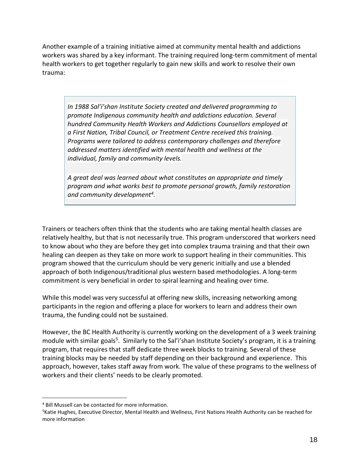Another example of a training initiative aimed at community mental health and addictions workers was shared by a key informant. The training required long-term commitment of mental health workers to get together regularly to gain new skills and work to resolve their own trauma:

*In 1988 Sal'i'shan Institute Society created and delivered programming to promote Indigenous community health and addictions education. Several hundred Community Health Workers and Addictions Counsellors employed at a First Nation, Tribal Council, or Treatment Centre received this training. Programs were tailored to address contemporary challenges and therefore addressed matters identified with mental health and wellness at the individual, family and community levels.* 

*A great deal was learned about what constitutes an appropriate and timely program and what works best to promote personal growth, family restoration and community development<sup>4</sup> .* 

Trainers or teachers often think that the students who are taking mental health classes are relatively healthy, but that is not necessarily true. This program underscored that workers need to know about who they are before they get into complex trauma training and that their own healing can deepen as they take on more work to support healing in their communities. This program showed that the curriculum should be very generic initially and use a blended approach of both Indigenous/traditional plus western based methodologies. A long-term commitment is very beneficial in order to spiral learning and healing over time.

While this model was very successful at offering new skills, increasing networking among participants in the region and offering a place for workers to learn and address their own trauma, the funding could not be sustained.

However, the BC Health Authority is currently working on the development of a 3 week training module with similar goals<sup>5</sup>. Similarly to the Sal'i'shan Institute Society's program, it is a training program, that requires that staff dedicate three week blocks to training. Several of these training blocks may be needed by staff depending on their background and experience. This approach, however, takes staff away from work. The value of these programs to the wellness of workers and their clients' needs to be clearly promoted.

<sup>4</sup> Bill Mussell can be contacted for more information.

<sup>&</sup>lt;sup>5</sup>Katie Hughes, Executive Director, Mental Health and Wellness, First Nations Health Authority can be reached for more information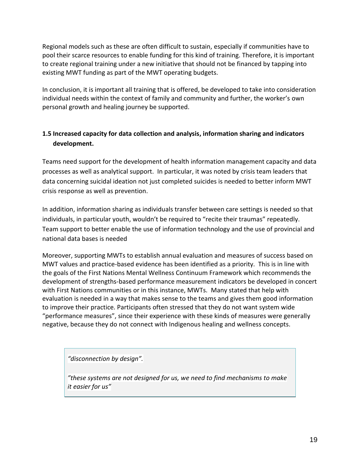Regional models such as these are often difficult to sustain, especially if communities have to pool their scarce resources to enable funding for this kind of training. Therefore, it is important to create regional training under a new initiative that should not be financed by tapping into existing MWT funding as part of the MWT operating budgets.

In conclusion, it is important all training that is offered, be developed to take into consideration individual needs within the context of family and community and further, the worker's own personal growth and healing journey be supported.

## **1.5 Increased capacity for data collection and analysis, information sharing and indicators development.**

Teams need support for the development of health information management capacity and data processes as well as analytical support. In particular, it was noted by crisis team leaders that data concerning suicidal ideation not just completed suicides is needed to better inform MWT crisis response as well as prevention.

In addition, information sharing as individuals transfer between care settings is needed so that individuals, in particular youth, wouldn't be required to "recite their traumas" repeatedly. Team support to better enable the use of information technology and the use of provincial and national data bases is needed

Moreover, supporting MWTs to establish annual evaluation and measures of success based on MWT values and practice-based evidence has been identified as a priority. This is in line with the goals of the First Nations Mental Wellness Continuum Framework which recommends the development of strengths-based performance measurement indicators be developed in concert with First Nations communities or in this instance, MWTs. Many stated that help with evaluation is needed in a way that makes sense to the teams and gives them good information to improve their practice. Participants often stressed that they do not want system wide "performance measures", since their experience with these kinds of measures were generally negative, because they do not connect with Indigenous healing and wellness concepts.

*"disconnection by design".* 

*"these systems are not designed for us, we need to find mechanisms to make it easier for us"*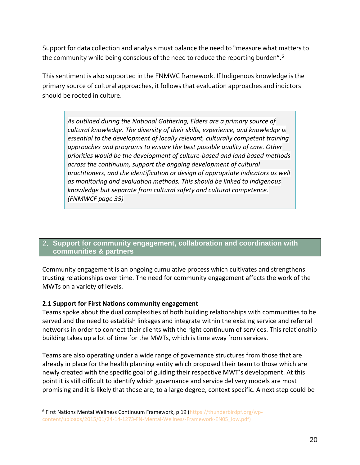Support for data collection and analysis must balance the need to "measure what matters to the community while being conscious of the need to reduce the reporting burden".<sup>6</sup>

This sentiment is also supported in the FNMWC framework. If Indigenous knowledge is the primary source of cultural approaches, it follows that evaluation approaches and indictors should be rooted in culture.

*As outlined during the National Gathering, Elders are a primary source of cultural knowledge. The diversity of their skills, experience, and knowledge is essential to the development of locally relevant, culturally competent training approaches and programs to ensure the best possible quality of care. Other priorities would be the development of culture-based and land based methods across the continuum, support the ongoing development of cultural practitioners, and the identification or design of appropriate indicators as well as monitoring and evaluation methods. This should be linked to Indigenous knowledge but separate from cultural safety and cultural competence. (FNMWCF page 35)*

#### <span id="page-19-0"></span>**Support for community engagement, collaboration and coordination with communities & partners**

Community engagement is an ongoing cumulative process which cultivates and strengthens trusting relationships over time. The need for community engagement affects the work of the MWTs on a variety of levels.

#### **2.1 Support for First Nations community engagement**

Teams spoke about the dual complexities of both building relationships with communities to be served and the need to establish linkages and integrate within the existing service and referral networks in order to connect their clients with the right continuum of services. This relationship building takes up a lot of time for the MWTs, which is time away from services.

Teams are also operating under a wide range of governance structures from those that are already in place for the health planning entity which proposed their team to those which are newly created with the specific goal of guiding their respective MWT's development. At this point it is still difficult to identify which governance and service delivery models are most promising and it is likely that these are, to a large degree, context specific. A next step could be

<sup>&</sup>lt;sup>6</sup> First Nations Mental Wellness Continuum Framework, p 19 [\(https://thunderbirdpf.org/wp](https://thunderbirdpf.org/wp-content/uploads/2015/01/24-14-1273-FN-Mental-Wellness-Framework-EN05_low.pdf))[content/uploads/2015/01/24-14-1273-FN-Mental-Wellness-Framework-EN05\\_low.pdf\)](https://thunderbirdpf.org/wp-content/uploads/2015/01/24-14-1273-FN-Mental-Wellness-Framework-EN05_low.pdf))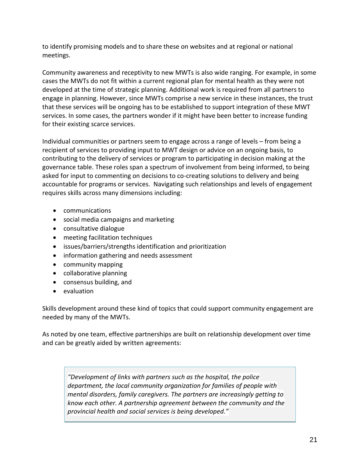to identify promising models and to share these on websites and at regional or national meetings.

Community awareness and receptivity to new MWTs is also wide ranging. For example, in some cases the MWTs do not fit within a current regional plan for mental health as they were not developed at the time of strategic planning. Additional work is required from all partners to engage in planning. However, since MWTs comprise a new service in these instances, the trust that these services will be ongoing has to be established to support integration of these MWT services. In some cases, the partners wonder if it might have been better to increase funding for their existing scarce services.

Individual communities or partners seem to engage across a range of levels – from being a recipient of services to providing input to MWT design or advice on an ongoing basis, to contributing to the delivery of services or program to participating in decision making at the governance table. These roles span a spectrum of involvement from being informed, to being asked for input to commenting on decisions to co-creating solutions to delivery and being accountable for programs or services. Navigating such relationships and levels of engagement requires skills across many dimensions including:

- communications
- social media campaigns and marketing
- consultative dialogue
- meeting facilitation techniques
- issues/barriers/strengths identification and prioritization
- information gathering and needs assessment
- community mapping
- collaborative planning
- consensus building, and
- evaluation

Skills development around these kind of topics that could support community engagement are needed by many of the MWTs.

As noted by one team, effective partnerships are built on relationship development over time and can be greatly aided by written agreements:

*"Development of links with partners such as the hospital, the police department, the local community organization for families of people with mental disorders, family caregivers. The partners are increasingly getting to know each other. A partnership agreement between the community and the provincial health and social services is being developed."*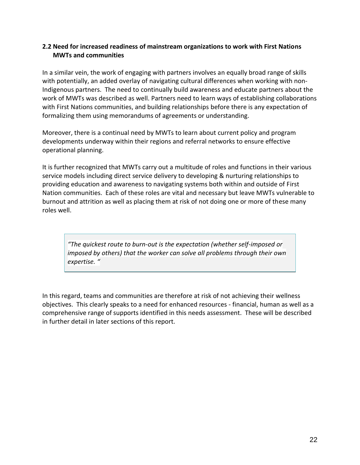#### **2.2 Need for increased readiness of mainstream organizations to work with First Nations MWTs and communities**

In a similar vein, the work of engaging with partners involves an equally broad range of skills with potentially, an added overlay of navigating cultural differences when working with non-Indigenous partners. The need to continually build awareness and educate partners about the work of MWTs was described as well. Partners need to learn ways of establishing collaborations with First Nations communities, and building relationships before there is any expectation of formalizing them using memorandums of agreements or understanding.

Moreover, there is a continual need by MWTs to learn about current policy and program developments underway within their regions and referral networks to ensure effective operational planning.

It is further recognized that MWTs carry out a multitude of roles and functions in their various service models including direct service delivery to developing & nurturing relationships to providing education and awareness to navigating systems both within and outside of First Nation communities. Each of these roles are vital and necessary but leave MWTs vulnerable to burnout and attrition as well as placing them at risk of not doing one or more of these many roles well.

*"The quickest route to burn-out is the expectation (whether self-imposed or imposed by others) that the worker can solve all problems through their own expertise. "*

In this regard, teams and communities are therefore at risk of not achieving their wellness objectives. This clearly speaks to a need for enhanced resources - financial, human as well as a comprehensive range of supports identified in this needs assessment. These will be described in further detail in later sections of this report.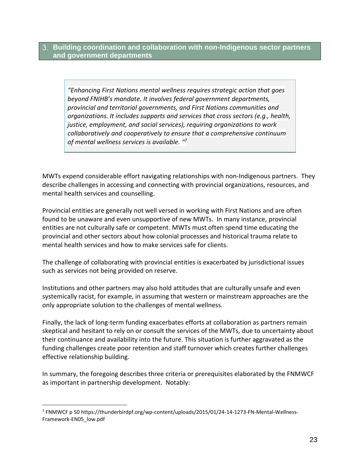<span id="page-22-0"></span>**Building coordination and collaboration with non-Indigenous sector partners and government departments**

*"Enhancing First Nations mental wellness requires strategic action that goes beyond FNIHB's mandate. It involves federal government departments, provincial and territorial governments, and First Nations communities and organizations. It includes supports and services that cross sectors (e.g., health, justice, employment, and social services), requiring organizations to work collaboratively and cooperatively to ensure that a comprehensive continuum of mental wellness services is available. " 7*

MWTs expend considerable effort navigating relationships with non-Indigenous partners. They describe challenges in accessing and connecting with provincial organizations, resources, and mental health services and counselling.

Provincial entities are generally not well versed in working with First Nations and are often found to be unaware and even unsupportive of new MWTs. In many instance, provincial entities are not culturally safe or competent. MWTs must often spend time educating the provincial and other sectors about how colonial processes and historical trauma relate to mental health services and how to make services safe for clients.

The challenge of collaborating with provincial entities is exacerbated by jurisdictional issues such as services not being provided on reserve.

Institutions and other partners may also hold attitudes that are culturally unsafe and even systemically racist, for example, in assuming that western or mainstream approaches are the only appropriate solution to the challenges of mental wellness.

Finally, the lack of long-term funding exacerbates efforts at collaboration as partners remain skeptical and hesitant to rely on or consult the services of the MWTs, due to uncertainty about their continuance and availability into the future. This situation is further aggravated as the funding challenges create poor retention and staff turnover which creates further challenges effective relationship building.

In summary, the foregoing describes three criteria or prerequisites elaborated by the FNMWCF as important in partnership development. Notably:

<sup>7</sup> FNMWCF p 50 https://thunderbirdpf.org/wp-content/uploads/2015/01/24-14-1273-FN-Mental-Wellness-Framework-EN05\_low.pdf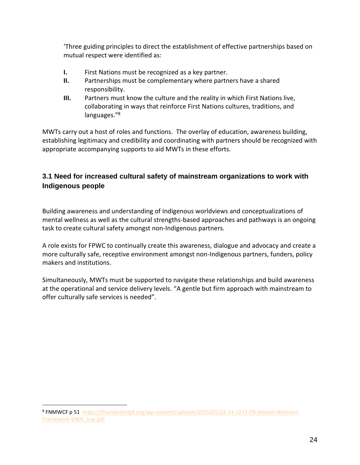'Three guiding principles to direct the establishment of effective partnerships based on mutual respect were identified as:

- **I.** First Nations must be recognized as a key partner.
- **II.** Partnerships must be complementary where partners have a shared responsibility.
- **III.** Partners must know the culture and the reality in which First Nations live, collaborating in ways that reinforce First Nations cultures, traditions, and languages."<sup>8</sup>

MWTs carry out a host of roles and functions. The overlay of education, awareness building, establishing legitimacy and credibility and coordinating with partners should be recognized with appropriate accompanying supports to aid MWTs in these efforts.

## **3.1 Need for increased cultural safety of mainstream organizations to work with Indigenous people**

Building awareness and understanding of Indigenous worldviews and conceptualizations of mental wellness as well as the cultural strengths-based approaches and pathways is an ongoing task to create cultural safety amongst non-Indigenous partners.

A role exists for FPWC to continually create this awareness, dialogue and advocacy and create a more culturally safe, receptive environment amongst non-Indigenous partners, funders, policy makers and institutions.

Simultaneously, MWTs must be supported to navigate these relationships and build awareness at the operational and service delivery levels. "A gentle but firm approach with mainstream to offer culturally safe services is needed".

<sup>&</sup>lt;sup>8</sup> FNMWCF p 51 [https://thunderbirdpf.org/wp-content/uploads/2015/01/24-14-1273-FN-Mental-Wellness-](https://thunderbirdpf.org/wp-content/uploads/2015/01/24-14-1273-FN-Mental-Wellness-Framework-EN05_low.pdf)[Framework-EN05\\_low.pdf](https://thunderbirdpf.org/wp-content/uploads/2015/01/24-14-1273-FN-Mental-Wellness-Framework-EN05_low.pdf)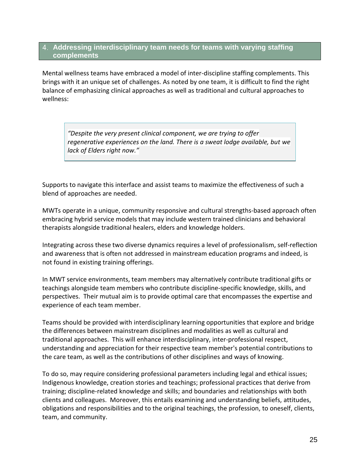#### <span id="page-24-0"></span>**Addressing interdisciplinary team needs for teams with varying staffing complements**

Mental wellness teams have embraced a model of inter-discipline staffing complements. This brings with it an unique set of challenges. As noted by one team, it is difficult to find the right balance of emphasizing clinical approaches as well as traditional and cultural approaches to wellness:

*"Despite the very present clinical component, we are trying to offer regenerative experiences on the land. There is a sweat lodge available, but we lack of Elders right now."*

Supports to navigate this interface and assist teams to maximize the effectiveness of such a blend of approaches are needed.

MWTs operate in a unique, community responsive and cultural strengths-based approach often embracing hybrid service models that may include western trained clinicians and behavioral therapists alongside traditional healers, elders and knowledge holders.

Integrating across these two diverse dynamics requires a level of professionalism, self-reflection and awareness that is often not addressed in mainstream education programs and indeed, is not found in existing training offerings.

In MWT service environments, team members may alternatively contribute traditional gifts or teachings alongside team members who contribute discipline-specific knowledge, skills, and perspectives. Their mutual aim is to provide optimal care that encompasses the expertise and experience of each team member.

Teams should be provided with interdisciplinary learning opportunities that explore and bridge the differences between mainstream disciplines and modalities as well as cultural and traditional approaches. This will enhance interdisciplinary, inter-professional respect, understanding and appreciation for their respective team member's potential contributions to the care team, as well as the contributions of other disciplines and ways of knowing.

To do so, may require considering professional parameters including legal and ethical issues; Indigenous knowledge, creation stories and teachings; professional practices that derive from training; discipline-related knowledge and skills; and boundaries and relationships with both clients and colleagues. Moreover, this entails examining and understanding beliefs, attitudes, obligations and responsibilities and to the original teachings, the profession, to oneself, clients, team, and community.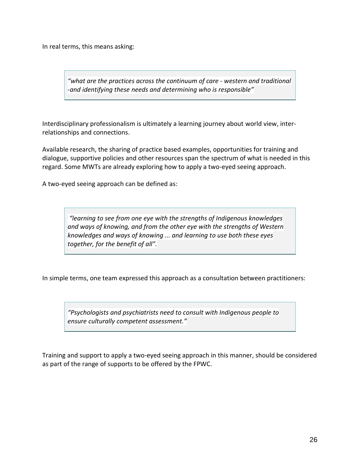In real terms, this means asking:

*"what are the practices across the continuum of care - western and traditional -and identifying these needs and determining who is responsible"*

Interdisciplinary professionalism is ultimately a learning journey about world view, interrelationships and connections.

Available research, the sharing of practice based examples, opportunities for training and dialogue, supportive policies and other resources span the spectrum of what is needed in this regard. Some MWTs are already exploring how to apply a two-eyed seeing approach.

A two-eyed seeing approach can be defined as:

*"learning to see from one eye with the strengths of Indigenous knowledges and ways of knowing, and from the other eye with the strengths of Western knowledges and ways of knowing ... and learning to use both these eyes together, for the benefit of all".*

In simple terms, one team expressed this approach as a consultation between practitioners:

*"Psychologists and psychiatrists need to consult with Indigenous people to ensure culturally competent assessment."*

Training and support to apply a two-eyed seeing approach in this manner, should be considered as part of the range of supports to be offered by the FPWC.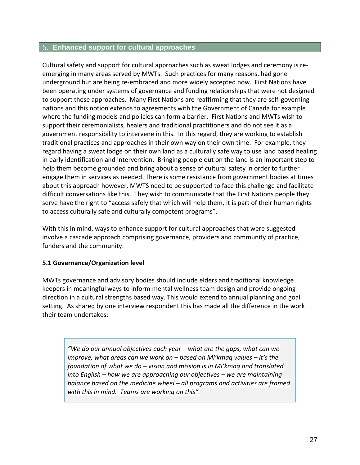#### <span id="page-26-0"></span>**Enhanced support for cultural approaches**

Cultural safety and support for cultural approaches such as sweat lodges and ceremony is reemerging in many areas served by MWTs. Such practices for many reasons, had gone underground but are being re-embraced and more widely accepted now. First Nations have been operating under systems of governance and funding relationships that were not designed to support these approaches. Many First Nations are reaffirming that they are self-governing nations and this notion extends to agreements with the Government of Canada for example where the funding models and policies can form a barrier. First Nations and MWTs wish to support their ceremonialists, healers and traditional practitioners and do not see it as a government responsibility to intervene in this. In this regard, they are working to establish traditional practices and approaches in their own way on their own time. For example, they regard having a sweat lodge on their own land as a culturally safe way to use land based healing in early identification and intervention. Bringing people out on the land is an important step to help them become grounded and bring about a sense of cultural safety in order to further engage them in services as needed. There is some resistance from government bodies at times about this approach however. MWTS need to be supported to face this challenge and facilitate difficult conversations like this. They wish to communicate that the First Nations people they serve have the right to "access safely that which will help them, it is part of their human rights to access culturally safe and culturally competent programs".

With this in mind, ways to enhance support for cultural approaches that were suggested involve a cascade approach comprising governance, providers and community of practice, funders and the community.

#### **5.1 Governance/Organization level**

MWTs governance and advisory bodies should include elders and traditional knowledge keepers in meaningful ways to inform mental wellness team design and provide ongoing direction in a cultural strengths based way. This would extend to annual planning and goal setting. As shared by one interview respondent this has made all the difference in the work their team undertakes:

*"We do our annual objectives each year – what are the gaps, what can we improve, what areas can we work on – based on Mi'kmaq values – it's the foundation of what we do – vision and mission is in Mi'kmaq and translated into English – how we are approaching our objectives – we are maintaining balance based on the medicine wheel – all programs and activities are framed with this in mind. Teams are working on this".*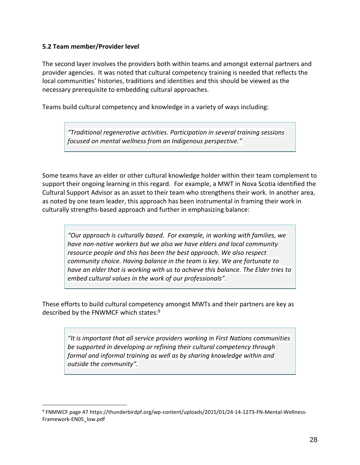#### **5.2 Team member/Provider level**

The second layer involves the providers both within teams and amongst external partners and provider agencies. It was noted that cultural competency training is needed that reflects the local communities' histories, traditions and identities and this should be viewed as the necessary prerequisite to embedding cultural approaches.

Teams build cultural competency and knowledge in a variety of ways including:

*"Traditional regenerative activities. Participation in several training sessions focused on mental wellness from an Indigenous perspective."*

Some teams have an elder or other cultural knowledge holder within their team complement to support their ongoing learning in this regard. For example, a MWT in Nova Scotia identified the Cultural Support Advisor as an asset to their team who strengthens their work. In another area, as noted by one team leader, this approach has been instrumental in framing their work in culturally strengths-based approach and further in emphasizing balance:

*"Our approach is culturally based. For example, in working with families, we have non-native workers but we also we have elders and local community resource people and this has been the best approach. We also respect community choice. Having balance in the team is key. We are fortunate to have an elder that is working with us to achieve this balance. The Elder tries to embed cultural values in the work of our professionals".* 

These efforts to build cultural competency amongst MWTs and their partners are key as described by the FNWMCF which states:<sup>9</sup>

*"It is important that all service providers working in First Nations communities be supported in developing or refining their cultural competency through formal and informal training as well as by sharing knowledge within and outside the community".* 

<sup>9</sup> FNMWCF page 47 https://thunderbirdpf.org/wp-content/uploads/2015/01/24-14-1273-FN-Mental-Wellness-Framework-EN05\_low.pdf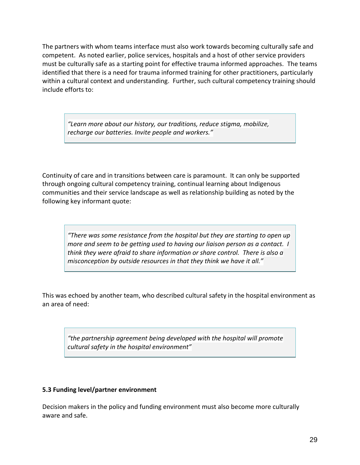The partners with whom teams interface must also work towards becoming culturally safe and competent. As noted earlier, police services, hospitals and a host of other service providers must be culturally safe as a starting point for effective trauma informed approaches. The teams identified that there is a need for trauma informed training for other practitioners, particularly within a cultural context and understanding. Further, such cultural competency training should include efforts to:

*"Learn more about our history, our traditions, reduce stigma, mobilize, recharge our batteries. Invite people and workers."*

Continuity of care and in transitions between care is paramount. It can only be supported through ongoing cultural competency training, continual learning about Indigenous communities and their service landscape as well as relationship building as noted by the following key informant quote:

*"There was some resistance from the hospital but they are starting to open up more and seem to be getting used to having our liaison person as a contact. I think they were afraid to share information or share control. There is also a misconception by outside resources in that they think we have it all."*

This was echoed by another team, who described cultural safety in the hospital environment as an area of need:

*"the partnership agreement being developed with the hospital will promote cultural safety in the hospital environment"*

#### **5.3 Funding level/partner environment**

Decision makers in the policy and funding environment must also become more culturally aware and safe.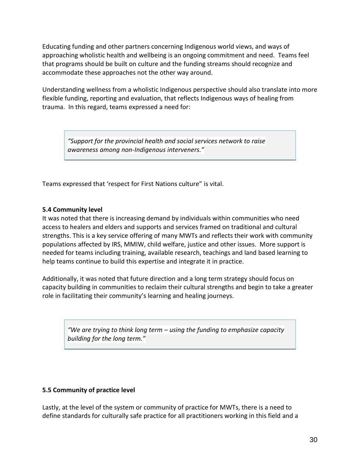Educating funding and other partners concerning Indigenous world views, and ways of approaching wholistic health and wellbeing is an ongoing commitment and need. Teams feel that programs should be built on culture and the funding streams should recognize and accommodate these approaches not the other way around.

Understanding wellness from a wholistic Indigenous perspective should also translate into more flexible funding, reporting and evaluation, that reflects Indigenous ways of healing from trauma. In this regard, teams expressed a need for:

*"Support for the provincial health and social services network to raise awareness among non-Indigenous interveners."*

Teams expressed that 'respect for First Nations culture" is vital.

#### **5.4 Community level**

It was noted that there is increasing demand by individuals within communities who need access to healers and elders and supports and services framed on traditional and cultural strengths. This is a key service offering of many MWTs and reflects their work with community populations affected by IRS, MMIW, child welfare, justice and other issues. More support is needed for teams including training, available research, teachings and land based learning to help teams continue to build this expertise and integrate it in practice.

Additionally, it was noted that future direction and a long term strategy should focus on capacity building in communities to reclaim their cultural strengths and begin to take a greater role in facilitating their community's learning and healing journeys.

*"We are trying to think long term – using the funding to emphasize capacity building for the long term."*

#### **5.5 Community of practice level**

Lastly, at the level of the system or community of practice for MWTs, there is a need to define standards for culturally safe practice for all practitioners working in this field and a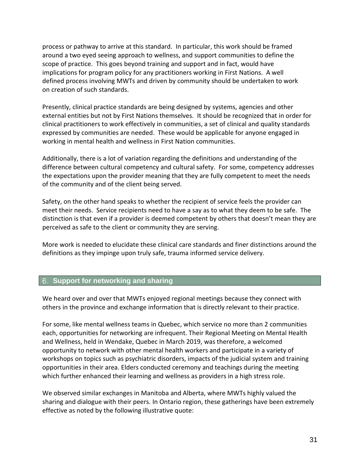process or pathway to arrive at this standard. In particular, this work should be framed around a two eyed seeing approach to wellness, and support communities to define the scope of practice. This goes beyond training and support and in fact, would have implications for program policy for any practitioners working in First Nations. A well defined process involving MWTs and driven by community should be undertaken to work on creation of such standards.

Presently, clinical practice standards are being designed by systems, agencies and other external entities but not by First Nations themselves. It should be recognized that in order for clinical practitioners to work effectively in communities, a set of clinical and quality standards expressed by communities are needed. These would be applicable for anyone engaged in working in mental health and wellness in First Nation communities.

Additionally, there is a lot of variation regarding the definitions and understanding of the difference between cultural competency and cultural safety. For some, competency addresses the expectations upon the provider meaning that they are fully competent to meet the needs of the community and of the client being served.

Safety, on the other hand speaks to whether the recipient of service feels the provider can meet their needs. Service recipients need to have a say as to what they deem to be safe. The distinction is that even if a provider is deemed competent by others that doesn't mean they are perceived as safe to the client or community they are serving.

More work is needed to elucidate these clinical care standards and finer distinctions around the definitions as they impinge upon truly safe, trauma informed service delivery.

#### <span id="page-30-0"></span>**Support for networking and sharing**

We heard over and over that MWTs enjoyed regional meetings because they connect with others in the province and exchange information that is directly relevant to their practice.

For some, like mental wellness teams in Quebec, which service no more than 2 communities each, opportunities for networking are infrequent. Their Regional Meeting on Mental Health and Wellness, held in Wendake, Quebec in March 2019, was therefore, a welcomed opportunity to network with other mental health workers and participate in a variety of workshops on topics such as psychiatric disorders, impacts of the judicial system and training opportunities in their area. Elders conducted ceremony and teachings during the meeting which further enhanced their learning and wellness as providers in a high stress role.

We observed similar exchanges in Manitoba and Alberta, where MWTs highly valued the sharing and dialogue with their peers. In Ontario region, these gatherings have been extremely effective as noted by the following illustrative quote: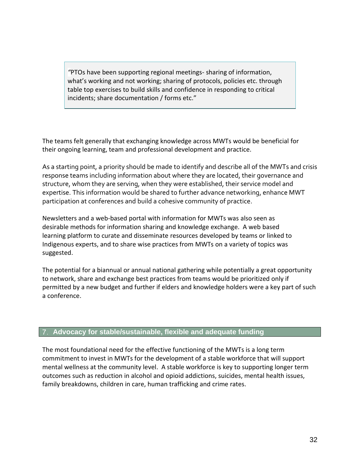*"*PTOs have been supporting regional meetings- sharing of information, what's working and not working; sharing of protocols, policies etc. through table top exercises to build skills and confidence in responding to critical incidents; share documentation / forms etc."

The teams felt generally that exchanging knowledge across MWTs would be beneficial for their ongoing learning, team and professional development and practice.

As a starting point, a priority should be made to identify and describe all of the MWTs and crisis response teams including information about where they are located, their governance and structure, whom they are serving, when they were established, their service model and expertise. This information would be shared to further advance networking, enhance MWT participation at conferences and build a cohesive community of practice.

Newsletters and a web-based portal with information for MWTs was also seen as desirable methods for information sharing and knowledge exchange. A web based learning platform to curate and disseminate resources developed by teams or linked to Indigenous experts, and to share wise practices from MWTs on a variety of topics was suggested.

The potential for a biannual or annual national gathering while potentially a great opportunity to network, share and exchange best practices from teams would be prioritized only if permitted by a new budget and further if elders and knowledge holders were a key part of such a conference.

#### <span id="page-31-0"></span>**Advocacy for stable/sustainable, flexible and adequate funding**

The most foundational need for the effective functioning of the MWTs is a long term commitment to invest in MWTs for the development of a stable workforce that will support mental wellness at the community level. A stable workforce is key to supporting longer term outcomes such as reduction in alcohol and opioid addictions, suicides, mental health issues, family breakdowns, children in care, human trafficking and crime rates.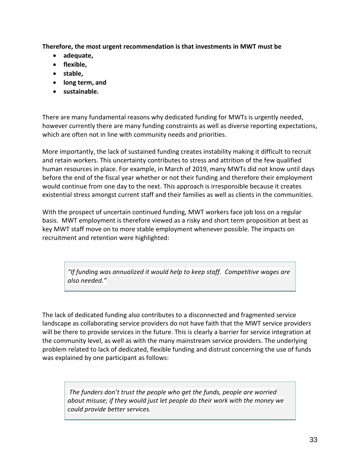**Therefore, the most urgent recommendation is that investments in MWT must be**

- **adequate,**
- **flexible,**
- **stable,**
- **long term, and**
- **sustainable.**

There are many fundamental reasons why dedicated funding for MWTs is urgently needed, however currently there are many funding constraints as well as diverse reporting expectations, which are often not in line with community needs and priorities.

More importantly, the lack of sustained funding creates instability making it difficult to recruit and retain workers. This uncertainty contributes to stress and attrition of the few qualified human resources in place. For example, in March of 2019, many MWTs did not know until days before the end of the fiscal year whether or not their funding and therefore their employment would continue from one day to the next. This approach is irresponsible because it creates existential stress amongst current staff and their families as well as clients in the communities.

With the prospect of uncertain continued funding, MWT workers face job loss on a regular basis. MWT employment is therefore viewed as a risky and short term proposition at best as key MWT staff move on to more stable employment whenever possible. The impacts on recruitment and retention were highlighted:

*"If funding was annualized it would help to keep staff. Competitive wages are also needed."*

The lack of dedicated funding also contributes to a disconnected and fragmented service landscape as collaborating service providers do not have faith that the MWT service providers will be there to provide services in the future. This is clearly a barrier for service integration at the community level, as well as with the many mainstream service providers. The underlying problem related to lack of dedicated, flexible funding and distrust concerning the use of funds was explained by one participant as follows:

*The funders don't trust the people who get the funds, people are worried about misuse; if they would just let people do their work with the money we could provide better services.*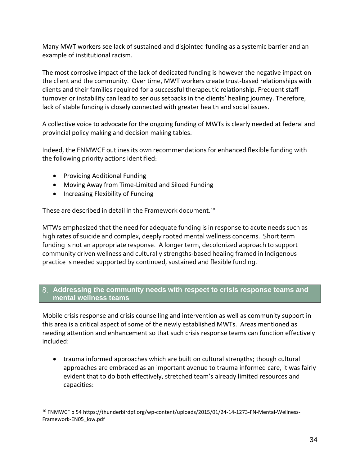Many MWT workers see lack of sustained and disjointed funding as a systemic barrier and an example of institutional racism.

The most corrosive impact of the lack of dedicated funding is however the negative impact on the client and the community. Over time, MWT workers create trust-based relationships with clients and their families required for a successful therapeutic relationship. Frequent staff turnover or instability can lead to serious setbacks in the clients' healing journey. Therefore, lack of stable funding is closely connected with greater health and social issues.

A collective voice to advocate for the ongoing funding of MWTs is clearly needed at federal and provincial policy making and decision making tables.

Indeed, the FNMWCF outlines its own recommendations for enhanced flexible funding with the following priority actions identified:

- Providing Additional Funding
- Moving Away from Time-Limited and Siloed Funding
- Increasing Flexibility of Funding

These are described in detail in the Framework document.<sup>10</sup>

MTWs emphasized that the need for adequate funding is in response to acute needs such as high rates of suicide and complex, deeply rooted mental wellness concerns. Short term funding is not an appropriate response. A longer term, decolonized approach to support community driven wellness and culturally strengths-based healing framed in Indigenous practice is needed supported by continued, sustained and flexible funding.

#### <span id="page-33-0"></span>**Addressing the community needs with respect to crisis response teams and mental wellness teams**

Mobile crisis response and crisis counselling and intervention as well as community support in this area is a critical aspect of some of the newly established MWTs. Areas mentioned as needing attention and enhancement so that such crisis response teams can function effectively included:

• trauma informed approaches which are built on cultural strengths; though cultural approaches are embraced as an important avenue to trauma informed care, it was fairly evident that to do both effectively, stretched team's already limited resources and capacities:

<sup>&</sup>lt;sup>10</sup> FNMWCF p 54 https://thunderbirdpf.org/wp-content/uploads/2015/01/24-14-1273-FN-Mental-Wellness-Framework-EN05\_low.pdf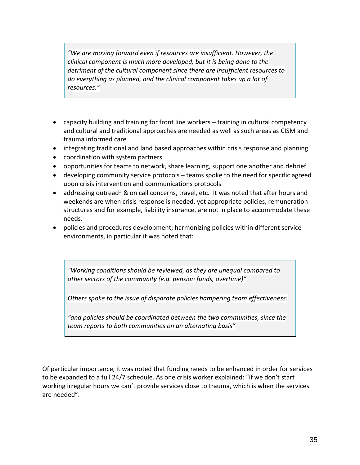*"We are moving forward even if resources are insufficient. However, the clinical component is much more developed, but it is being done to the detriment of the cultural component since there are insufficient resources to do everything as planned, and the clinical component takes up a lot of resources."*

- capacity building and training for front line workers training in cultural competency and cultural and traditional approaches are needed as well as such areas as CISM and trauma informed care
- integrating traditional and land based approaches within crisis response and planning
- coordination with system partners
- opportunities for teams to network, share learning, support one another and debrief
- developing community service protocols teams spoke to the need for specific agreed upon crisis intervention and communications protocols
- addressing outreach & on call concerns, travel, etc. It was noted that after hours and weekends are when crisis response is needed, yet appropriate policies, remuneration structures and for example, liability insurance, are not in place to accommodate these needs.
- policies and procedures development; harmonizing policies within different service environments, in particular it was noted that:

*"Working conditions should be reviewed, as they are unequal compared to other sectors of the community (e.g. pension funds, overtime)"*

*Others spoke to the issue of disparate policies hampering team effectiveness:*

*"and policies should be coordinated between the two communities, since the team reports to both communities on an alternating basis"*

Of particular importance, it was noted that funding needs to be enhanced in order for services to be expanded to a full 24/7 schedule. As one crisis worker explained: "if we don't start working irregular hours we can't provide services close to trauma, which is when the services are needed".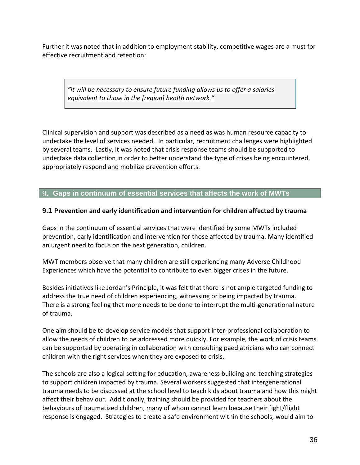Further it was noted that in addition to employment stability, competitive wages are a must for effective recruitment and retention:

*"it will be necessary to ensure future funding allows us to offer a salaries equivalent to those in the [region] health network."*

Clinical supervision and support was described as a need as was human resource capacity to undertake the level of services needed. In particular, recruitment challenges were highlighted by several teams. Lastly, it was noted that crisis response teams should be supported to undertake data collection in order to better understand the type of crises being encountered, appropriately respond and mobilize prevention efforts.

<span id="page-35-0"></span>**Gaps in continuum of essential services that affects the work of MWTs**

#### **9.1 Prevention and early identification and intervention for children affected by trauma**

Gaps in the continuum of essential services that were identified by some MWTs included prevention, early identification and intervention for those affected by trauma. Many identified an urgent need to focus on the next generation, children.

MWT members observe that many children are still experiencing many Adverse Childhood Experiences which have the potential to contribute to even bigger crises in the future.

Besides initiatives like Jordan's Principle, it was felt that there is not ample targeted funding to address the true need of children experiencing, witnessing or being impacted by trauma. There is a strong feeling that more needs to be done to interrupt the multi-generational nature of trauma.

One aim should be to develop service models that support inter-professional collaboration to allow the needs of children to be addressed more quickly. For example, the work of crisis teams can be supported by operating in collaboration with consulting paediatricians who can connect children with the right services when they are exposed to crisis.

The schools are also a logical setting for education, awareness building and teaching strategies to support children impacted by trauma. Several workers suggested that intergenerational trauma needs to be discussed at the school level to teach kids about trauma and how this might affect their behaviour. Additionally, training should be provided for teachers about the behaviours of traumatized children, many of whom cannot learn because their fight/flight response is engaged. Strategies to create a safe environment within the schools, would aim to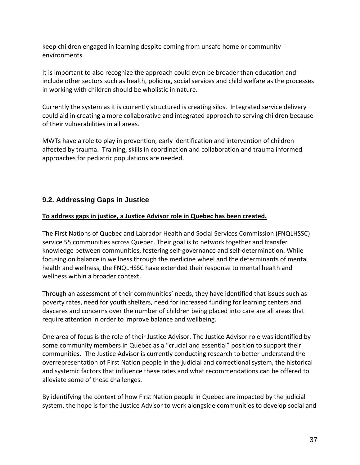keep children engaged in learning despite coming from unsafe home or community environments.

It is important to also recognize the approach could even be broader than education and include other sectors such as health, policing, social services and child welfare as the processes in working with children should be wholistic in nature.

Currently the system as it is currently structured is creating silos. Integrated service delivery could aid in creating a more collaborative and integrated approach to serving children because of their vulnerabilities in all areas.

MWTs have a role to play in prevention, early identification and intervention of children affected by trauma. Training, skills in coordination and collaboration and trauma informed approaches for pediatric populations are needed.

### **9.2. Addressing Gaps in Justice**

#### **To address gaps in justice, a Justice Advisor role in Quebec has been created.**

The First Nations of Quebec and Labrador Health and Social Services Commission (FNQLHSSC) service 55 communities across Quebec. Their goal is to network together and transfer knowledge between communities, fostering self-governance and self-determination. While focusing on balance in wellness through the medicine wheel and the determinants of mental health and wellness, the FNQLHSSC have extended their response to mental health and wellness within a broader context.

Through an assessment of their communities' needs, they have identified that issues such as poverty rates, need for youth shelters, need for increased funding for learning centers and daycares and concerns over the number of children being placed into care are all areas that require attention in order to improve balance and wellbeing.

One area of focus is the role of their Justice Advisor. The Justice Advisor role was identified by some community members in Quebec as a "crucial and essential" position to support their communities. The Justice Advisor is currently conducting research to better understand the overrepresentation of First Nation people in the judicial and correctional system, the historical and systemic factors that influence these rates and what recommendations can be offered to alleviate some of these challenges.

By identifying the context of how First Nation people in Quebec are impacted by the judicial system, the hope is for the Justice Advisor to work alongside communities to develop social and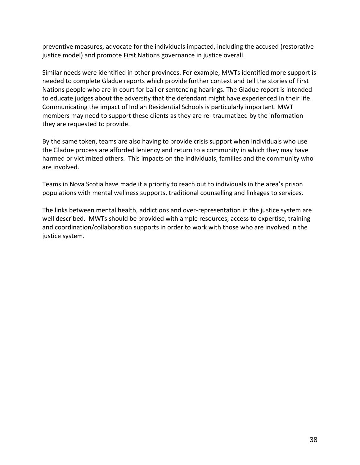preventive measures, advocate for the individuals impacted, including the accused (restorative justice model) and promote First Nations governance in justice overall.

Similar needs were identified in other provinces. For example, MWTs identified more support is needed to complete Gladue reports which provide further context and tell the stories of First Nations people who are in court for bail or sentencing hearings. The Gladue report is intended to educate judges about the adversity that the defendant might have experienced in their life. Communicating the impact of Indian Residential Schools is particularly important. MWT members may need to support these clients as they are re- traumatized by the information they are requested to provide.

By the same token, teams are also having to provide crisis support when individuals who use the Gladue process are afforded leniency and return to a community in which they may have harmed or victimized others. This impacts on the individuals, families and the community who are involved.

Teams in Nova Scotia have made it a priority to reach out to individuals in the area's prison populations with mental wellness supports, traditional counselling and linkages to services.

The links between mental health, addictions and over-representation in the justice system are well described. MWTs should be provided with ample resources, access to expertise, training and coordination/collaboration supports in order to work with those who are involved in the justice system.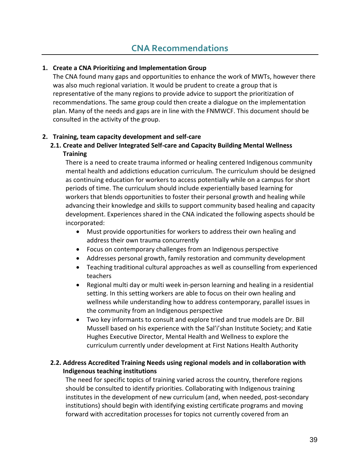#### <span id="page-38-0"></span>**1. Create a CNA Prioritizing and Implementation Group**

The CNA found many gaps and opportunities to enhance the work of MWTs, however there was also much regional variation. It would be prudent to create a group that is representative of the many regions to provide advice to support the prioritization of recommendations. The same group could then create a dialogue on the implementation plan. Many of the needs and gaps are in line with the FNMWCF. This document should be consulted in the activity of the group.

#### **2. Training, team capacity development and self-care**

#### **2.1. Create and Deliver Integrated Self-care and Capacity Building Mental Wellness Training**

There is a need to create trauma informed or healing centered Indigenous community mental health and addictions education curriculum. The curriculum should be designed as continuing education for workers to access potentially while on a campus for short periods of time. The curriculum should include experientially based learning for workers that blends opportunities to foster their personal growth and healing while advancing their knowledge and skills to support community based healing and capacity development. Experiences shared in the CNA indicated the following aspects should be incorporated:

- Must provide opportunities for workers to address their own healing and address their own trauma concurrently
- Focus on contemporary challenges from an Indigenous perspective
- Addresses personal growth, family restoration and community development
- Teaching traditional cultural approaches as well as counselling from experienced teachers
- Regional multi day or multi week in-person learning and healing in a residential setting. In this setting workers are able to focus on their own healing and wellness while understanding how to address contemporary, parallel issues in the community from an Indigenous perspective
- Two key informants to consult and explore tried and true models are Dr. Bill Mussell based on his experience with the Sal'i'shan Institute Society; and Katie Hughes Executive Director, Mental Health and Wellness to explore the curriculum currently under development at First Nations Health Authority

#### **2.2. Address Accredited Training Needs using regional models and in collaboration with Indigenous teaching institutions**

The need for specific topics of training varied across the country, therefore regions should be consulted to identify priorities. Collaborating with Indigenous training institutes in the development of new curriculum (and, when needed, post-secondary institutions) should begin with identifying existing certificate programs and moving forward with accreditation processes for topics not currently covered from an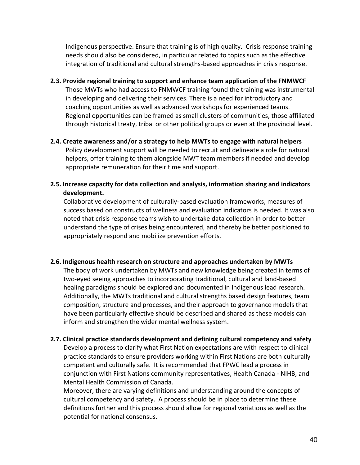Indigenous perspective. Ensure that training is of high quality. Crisis response training needs should also be considered, in particular related to topics such as the effective integration of traditional and cultural strengths-based approaches in crisis response.

- **2.3. Provide regional training to support and enhance team application of the FNMWCF** Those MWTs who had access to FNMWCF training found the training was instrumental in developing and delivering their services. There is a need for introductory and coaching opportunities as well as advanced workshops for experienced teams. Regional opportunities can be framed as small clusters of communities, those affiliated through historical treaty, tribal or other political groups or even at the provincial level.
- **2.4. Create awareness and/or a strategy to help MWTs to engage with natural helpers**  Policy development support will be needed to recruit and delineate a role for natural helpers, offer training to them alongside MWT team members if needed and develop appropriate remuneration for their time and support.
- **2.5. Increase capacity for data collection and analysis, information sharing and indicators development.**

Collaborative development of culturally-based evaluation frameworks, measures of success based on constructs of wellness and evaluation indicators is needed. It was also noted that crisis response teams wish to undertake data collection in order to better understand the type of crises being encountered, and thereby be better positioned to appropriately respond and mobilize prevention efforts.

#### **2.6. Indigenous health research on structure and approaches undertaken by MWTs**

The body of work undertaken by MWTs and new knowledge being created in terms of two-eyed seeing approaches to incorporating traditional, cultural and land-based healing paradigms should be explored and documented in Indigenous lead research. Additionally, the MWTs traditional and cultural strengths based design features, team composition, structure and processes, and their approach to governance models that have been particularly effective should be described and shared as these models can inform and strengthen the wider mental wellness system.

 **2.7. Clinical practice standards development and defining cultural competency and safety**

Develop a process to clarify what First Nation expectations are with respect to clinical practice standards to ensure providers working within First Nations are both culturally competent and culturally safe. It is recommended that FPWC lead a process in conjunction with First Nations community representatives, Health Canada - NIHB, and Mental Health Commission of Canada.

Moreover, there are varying definitions and understanding around the concepts of cultural competency and safety. A process should be in place to determine these definitions further and this process should allow for regional variations as well as the potential for national consensus.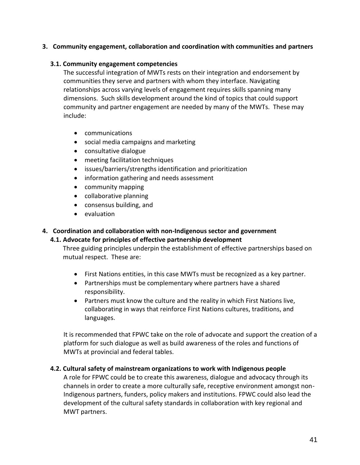#### **3. Community engagement, collaboration and coordination with communities and partners**

#### **3.1. Community engagement competencies**

The successful integration of MWTs rests on their integration and endorsement by communities they serve and partners with whom they interface. Navigating relationships across varying levels of engagement requires skills spanning many dimensions. Such skills development around the kind of topics that could support community and partner engagement are needed by many of the MWTs. These may include:

- communications
- social media campaigns and marketing
- consultative dialogue
- meeting facilitation techniques
- issues/barriers/strengths identification and prioritization
- information gathering and needs assessment
- community mapping
- collaborative planning
- consensus building, and
- evaluation

#### **4. Coordination and collaboration with non-Indigenous sector and government**

#### **4.1. Advocate for principles of effective partnership development**

Three guiding principles underpin the establishment of effective partnerships based on mutual respect. These are:

- First Nations entities, in this case MWTs must be recognized as a key partner.
- Partnerships must be complementary where partners have a shared responsibility.
- Partners must know the culture and the reality in which First Nations live, collaborating in ways that reinforce First Nations cultures, traditions, and languages.

It is recommended that FPWC take on the role of advocate and support the creation of a platform for such dialogue as well as build awareness of the roles and functions of MWTs at provincial and federal tables.

#### **4.2. Cultural safety of mainstream organizations to work with Indigenous people**

A role for FPWC could be to create this awareness, dialogue and advocacy through its channels in order to create a more culturally safe, receptive environment amongst non-Indigenous partners, funders, policy makers and institutions. FPWC could also lead the development of the cultural safety standards in collaboration with key regional and MWT partners.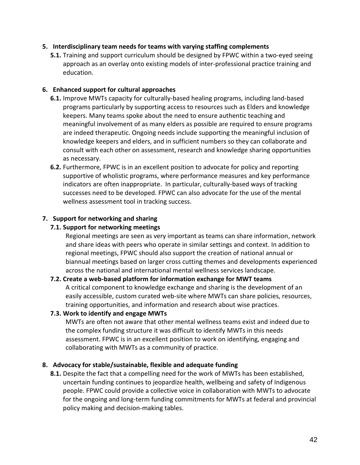#### **5. Interdisciplinary team needs for teams with varying staffing complements**

**5.1.** Training and support curriculum should be designed by FPWC within a two-eyed seeing approach as an overlay onto existing models of inter-professional practice training and education.

#### **6. Enhanced support for cultural approaches**

- **6.1.** Improve MWTs capacity for culturally-based healing programs, including land-based programs particularly by supporting access to resources such as Elders and knowledge keepers. Many teams spoke about the need to ensure authentic teaching and meaningful involvement of as many elders as possible are required to ensure programs are indeed therapeutic. Ongoing needs include supporting the meaningful inclusion of knowledge keepers and elders, and in sufficient numbers so they can collaborate and consult with each other on assessment, research and knowledge sharing opportunities as necessary.
- **6.2.** Furthermore, FPWC is in an excellent position to advocate for policy and reporting supportive of wholistic programs, where performance measures and key performance indicators are often inappropriate. In particular, culturally-based ways of tracking successes need to be developed. FPWC can also advocate for the use of the mental wellness assessment tool in tracking success.

#### **7. Support for networking and sharing**

#### **7.1. Support for networking meetings**

Regional meetings are seen as very important as teams can share information, network and share ideas with peers who operate in similar settings and context. In addition to regional meetings, FPWC should also support the creation of national annual or biannual meetings based on larger cross cutting themes and developments experienced across the national and international mental wellness services landscape.

#### **7.2. Create a web-based platform for information exchange for MWT teams**

A critical component to knowledge exchange and sharing is the development of an easily accessible, custom curated web-site where MWTs can share policies, resources, training opportunities, and information and research about wise practices.

#### **7.3. Work to identify and engage MWTs**

MWTs are often not aware that other mental wellness teams exist and indeed due to the complex funding structure it was difficult to identify MWTs in this needs assessment. FPWC is in an excellent position to work on identifying, engaging and collaborating with MWTs as a community of practice.

#### **8. Advocacy for stable/sustainable, flexible and adequate funding**

**8.1.** Despite the fact that a compelling need for the work of MWTs has been established, uncertain funding continues to jeopardize health, wellbeing and safety of Indigenous people. FPWC could provide a collective voice in collaboration with MWTs to advocate for the ongoing and long-term funding commitments for MWTs at federal and provincial policy making and decision-making tables.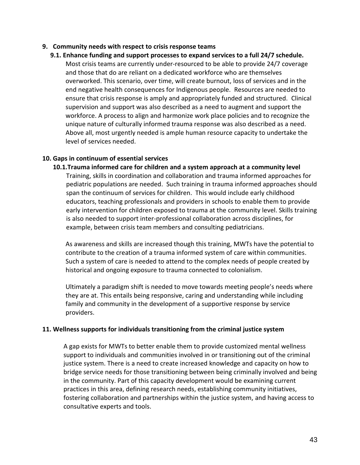#### **9. Community needs with respect to crisis response teams**

**9.1. Enhance funding and support processes to expand services to a full 24/7 schedule.**  Most crisis teams are currently under-resourced to be able to provide 24/7 coverage and those that do are reliant on a dedicated workforce who are themselves overworked. This scenario, over time, will create burnout, loss of services and in the end negative health consequences for Indigenous people. Resources are needed to ensure that crisis response is amply and appropriately funded and structured. Clinical supervision and support was also described as a need to augment and support the workforce. A process to align and harmonize work place policies and to recognize the unique nature of culturally informed trauma response was also described as a need. Above all, most urgently needed is ample human resource capacity to undertake the level of services needed.

#### **10. Gaps in continuum of essential services**

**10.1.Trauma informed care for children and a system approach at a community level** Training, skills in coordination and collaboration and trauma informed approaches for pediatric populations are needed. Such training in trauma informed approaches should span the continuum of services for children. This would include early childhood educators, teaching professionals and providers in schools to enable them to provide early intervention for children exposed to trauma at the community level. Skills training is also needed to support inter-professional collaboration across disciplines, for example, between crisis team members and consulting pediatricians.

As awareness and skills are increased though this training, MWTs have the potential to contribute to the creation of a trauma informed system of care within communities. Such a system of care is needed to attend to the complex needs of people created by historical and ongoing exposure to trauma connected to colonialism.

Ultimately a paradigm shift is needed to move towards meeting people's needs where they are at. This entails being responsive, caring and understanding while including family and community in the development of a supportive response by service providers.

#### **11. Wellness supports for individuals transitioning from the criminal justice system**

A gap exists for MWTs to better enable them to provide customized mental wellness support to individuals and communities involved in or transitioning out of the criminal justice system. There is a need to create increased knowledge and capacity on how to bridge service needs for those transitioning between being criminally involved and being in the community. Part of this capacity development would be examining current practices in this area, defining research needs, establishing community initiatives, fostering collaboration and partnerships within the justice system, and having access to consultative experts and tools.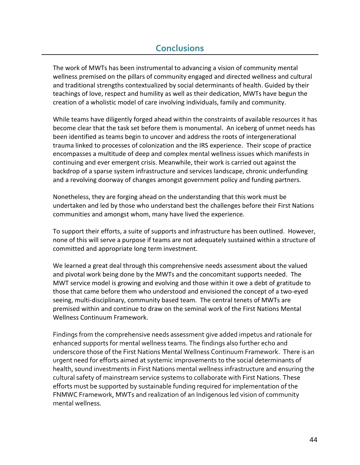# **Conclusions**

<span id="page-43-0"></span>The work of MWTs has been instrumental to advancing a vision of community mental wellness premised on the pillars of community engaged and directed wellness and cultural and traditional strengths contextualized by social determinants of health. Guided by their teachings of love, respect and humility as well as their dedication, MWTs have begun the creation of a wholistic model of care involving individuals, family and community.

While teams have diligently forged ahead within the constraints of available resources it has become clear that the task set before them is monumental. An iceberg of unmet needs has been identified as teams begin to uncover and address the roots of intergenerational trauma linked to processes of colonization and the IRS experience. Their scope of practice encompasses a multitude of deep and complex mental wellness issues which manifests in continuing and ever emergent crisis. Meanwhile, their work is carried out against the backdrop of a sparse system infrastructure and services landscape, chronic underfunding and a revolving doorway of changes amongst government policy and funding partners.

Nonetheless, they are forging ahead on the understanding that this work must be undertaken and led by those who understand best the challenges before their First Nations communities and amongst whom, many have lived the experience.

To support their efforts, a suite of supports and infrastructure has been outlined. However, none of this will serve a purpose if teams are not adequately sustained within a structure of committed and appropriate long term investment.

We learned a great deal through this comprehensive needs assessment about the valued and pivotal work being done by the MWTs and the concomitant supports needed. The MWT service model is growing and evolving and those within it owe a debt of gratitude to those that came before them who understood and envisioned the concept of a two-eyed seeing, multi-disciplinary, community based team. The central tenets of MWTs are premised within and continue to draw on the seminal work of the First Nations Mental Wellness Continuum Framework.

Findings from the comprehensive needs assessment give added impetus and rationale for enhanced supports for mental wellness teams. The findings also further echo and underscore those of the First Nations Mental Wellness Continuum Framework. There is an urgent need for efforts aimed at systemic improvements to the social determinants of health, sound investments in First Nations mental wellness infrastructure and ensuring the cultural safety of mainstream service systems to collaborate with First Nations. These efforts must be supported by sustainable funding required for implementation of the FNMWC Framework, MWTs and realization of an Indigenous led vision of community mental wellness.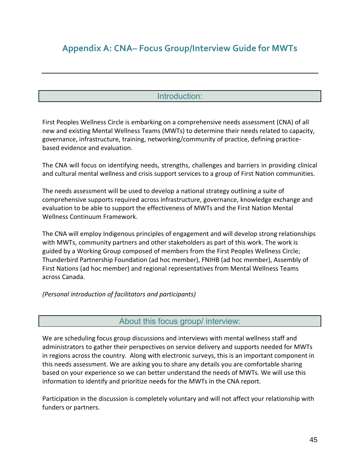# <span id="page-44-0"></span>**Appendix A: CNA– Focus Group/Interview Guide for MWTs**

## Introduction:

<span id="page-44-1"></span>First Peoples Wellness Circle is embarking on a comprehensive needs assessment (CNA) of all new and existing Mental Wellness Teams (MWTs) to determine their needs related to capacity, governance, infrastructure, training, networking/community of practice, defining practicebased evidence and evaluation.

The CNA will focus on identifying needs, strengths, challenges and barriers in providing clinical and cultural mental wellness and crisis support services to a group of First Nation communities.

The needs assessment will be used to develop a national strategy outlining a suite of comprehensive supports required across infrastructure, governance, knowledge exchange and evaluation to be able to support the effectiveness of MWTs and the First Nation Mental Wellness Continuum Framework.

The CNA will employ Indigenous principles of engagement and will develop strong relationships with MWTs, community partners and other stakeholders as part of this work. The work is guided by a Working Group composed of members from the First Peoples Wellness Circle; Thunderbird Partnership Foundation (ad hoc member), FNIHB (ad hoc member), Assembly of First Nations (ad hoc member) and regional representatives from Mental Wellness Teams across Canada.

<span id="page-44-2"></span>*(Personal introduction of facilitators and participants)*

#### About this focus group/ interview:

We are scheduling focus group discussions and interviews with mental wellness staff and administrators to gather their perspectives on service delivery and supports needed for MWTs in regions across the country. Along with electronic surveys, this is an important component in this needs assessment. We are asking you to share any details you are comfortable sharing based on your experience so we can better understand the needs of MWTs. We will use this information to identify and prioritize needs for the MWTs in the CNA report.

Participation in the discussion is completely voluntary and will not affect your relationship with funders or partners.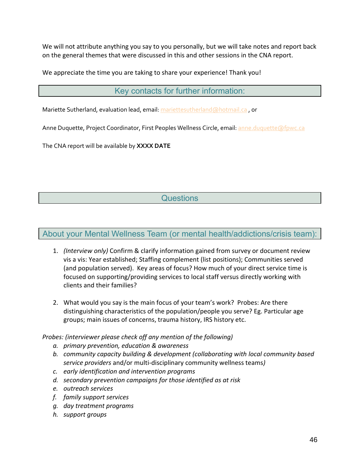We will not attribute anything you say to you personally, but we will take notes and report back on the general themes that were discussed in this and other sessions in the CNA report.

<span id="page-45-0"></span>We appreciate the time you are taking to share your experience! Thank you!

Key contacts for further information:

Mariette Sutherland, evaluation lead, email: [mariettesutherland@hotmail.ca](mailto:mariettesutherland@hotmail.ca), or

Anne Duquette, Project Coordinator, First Peoples Wellness Circle, email: [anne.duquette@fpwc.ca](mailto:anne.duquette@fpwc.ca)

<span id="page-45-1"></span>The CNA report will be available by **XXXX DATE**

# **Questions**

## <span id="page-45-2"></span>About your Mental Wellness Team (or mental health/addictions/crisis team):

- 1. *(Interview only)* Confirm & clarify information gained from survey or document review vis a vis: Year established; Staffing complement (list positions); Communities served (and population served). Key areas of focus? How much of your direct service time is focused on supporting/providing services to local staff versus directly working with clients and their families?
- 2. What would you say is the main focus of your team's work? Probes: Are there distinguishing characteristics of the population/people you serve? Eg. Particular age groups; main issues of concerns, trauma history, IRS history etc.

*Probes: (interviewer please check off any mention of the following)*

- *a. primary prevention, education & awareness*
- *b. community capacity building & development (collaborating with local community based service providers* and/or multi-disciplinary community wellness teams*)*
- *c. early identification and intervention programs*
- *d. secondary prevention campaigns for those identified as at risk*
- *e. outreach services*
- *f. family support services*
- *g. day treatment programs*
- *h. support groups*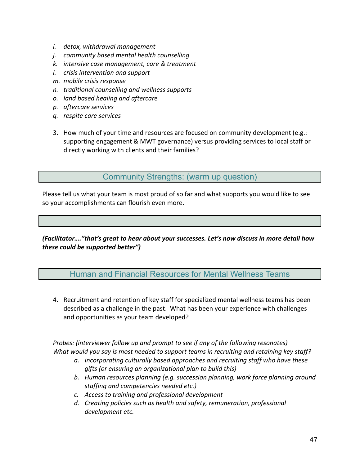- *i. detox, withdrawal management*
- *j. community based mental health counselling*
- *k. intensive case management, care & treatment*
- *l. crisis intervention and support*
- *m. mobile crisis response*
- *n. traditional counselling and wellness supports*
- *o. land based healing and aftercare*
- *p. aftercare services*
- *q. respite care services*
- 3. How much of your time and resources are focused on community development (e.g.: supporting engagement & MWT governance) versus providing services to local staff or directly working with clients and their families?

Community Strengths: (warm up question)

<span id="page-46-0"></span>Please tell us what your team is most proud of so far and what supports you would like to see so your accomplishments can flourish even more.

<span id="page-46-1"></span>*(Facilitator…."that's great to hear about your successes. Let's now discuss in more detail how these could be supported better")*

Human and Financial Resources for Mental Wellness Teams

4. Recruitment and retention of key staff for specialized mental wellness teams has been described as a challenge in the past. What has been your experience with challenges and opportunities as your team developed?

*Probes: (interviewer follow up and prompt to see if any of the following resonates) What would you say is most needed to support teams in recruiting and retaining key staff?*

- *a. Incorporating culturally based approaches and recruiting staff who have these gifts (or ensuring an organizational plan to build this)*
- *b. Human resources planning (e.g. succession planning, work force planning around staffing and competencies needed etc.)*
- *c. Access to training and professional development*
- *d. Creating policies such as health and safety, remuneration, professional development etc.*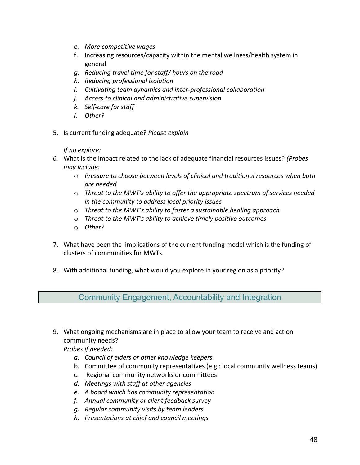- *e. More competitive wages*
- f. Increasing resources/capacity within the mental wellness/health system in general
- *g. Reducing travel time for staff/ hours on the road*
- *h. Reducing professional isolation*
- *i. Cultivating team dynamics and inter-professional collaboration*
- *j. Access to clinical and administrative supervision*
- *k. Self-care for staff*
- *l. Other?*
- 5. Is current funding adequate? *Please explain*

*If no explore:*

- *6.* What is the impact related to the lack of adequate financial resources issues? *(Probes may include:* 
	- o *Pressure to choose between levels of clinical and traditional resources when both are needed*
	- o *Threat to the MWT's ability to offer the appropriate spectrum of services needed in the community to address local priority issues*
	- o *Threat to the MWT's ability to foster a sustainable healing approach*
	- o *Threat to the MWT's ability to achieve timely positive outcomes*
	- o *Other?*
- 7. What have been the implications of the current funding model which is the funding of clusters of communities for MWTs.
- <span id="page-47-0"></span>8. With additional funding, what would you explore in your region as a priority?

Community Engagement, Accountability and Integration

9. What ongoing mechanisms are in place to allow your team to receive and act on community needs?

*Probes if needed:*

- *a. Council of elders or other knowledge keepers*
- b. Committee of community representatives (e.g.: local community wellness teams)
- c. Regional community networks or committees
- *d. Meetings with staff at other agencies*
- *e. A board which has community representation*
- *f. Annual community or client feedback survey*
- *g. Regular community visits by team leaders*
- *h. Presentations at chief and council meetings*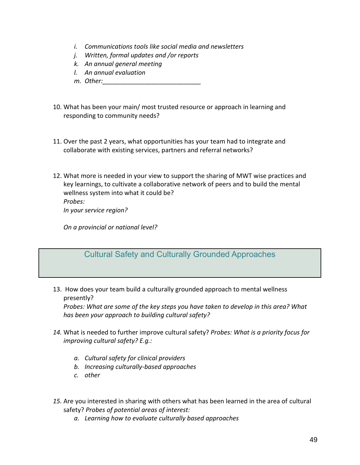- *i. Communications tools like social media and newsletters*
- *j. Written, formal updates and /or reports*
- *k. An annual general meeting*
- *l. An annual evaluation*
- *m. Other:\_\_\_\_\_\_\_\_\_\_\_\_\_\_\_\_\_\_\_\_\_\_\_\_\_\_\_\_*
- 10. What has been your main/ most trusted resource or approach in learning and responding to community needs?
- 11. Over the past 2 years, what opportunities has your team had to integrate and collaborate with existing services, partners and referral networks?
- 12. What more is needed in your view to support the sharing of MWT wise practices and key learnings, to cultivate a collaborative network of peers and to build the mental wellness system into what it could be? *Probes:*

*In your service region?* 

<span id="page-48-0"></span>*On a provincial or national level?* 

# Cultural Safety and Culturally Grounded Approaches

13. How does your team build a culturally grounded approach to mental wellness presently?

*Probes: What are some of the key steps you have taken to develop in this area? What has been your approach to building cultural safety?*

- *14.* What is needed to further improve cultural safety? *Probes: What is a priority focus for improving cultural safety? E.g.:*
	- *a. Cultural safety for clinical providers*
	- *b. Increasing culturally-based approaches*
	- *c. other*
- *15.* Are you interested in sharing with others what has been learned in the area of cultural safety? *Probes of potential areas of interest:*
	- *a. Learning how to evaluate culturally based approaches*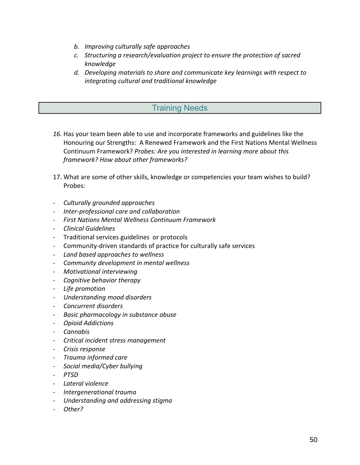- *b. Improving culturally safe approaches*
- *c. Structuring a research/evaluation project to ensure the protection of sacred knowledge*
- *d. Developing materials to share and communicate key learnings with respect to integrating cultural and traditional knowledge*

## Training Needs

- <span id="page-49-0"></span>*16.* Has your team been able to use and incorporate frameworks and guidelines like the Honouring our Strengths: A Renewed Framework and the First Nations Mental Wellness Continuum Framework? *Probes: Are you interested in learning more about this framework? How about other frameworks?*
- 17. What are some of other skills, knowledge or competencies your team wishes to build? Probes:
- *Culturally grounded approaches*
- *Inter-professional care and collaboration*
- *First Nations Mental Wellness Continuum Framework*
- *Clinical Guidelines*
- Traditional services guidelines or protocols
- Community-driven standards of practice for culturally safe services
- *Land based approaches to wellness*
- *Community development in mental wellness*
- *Motivational interviewing*
- *Cognitive behavior therapy*
- *Life promotion*
- *Understanding mood disorders*
- *Concurrent disorders*
- *Basic pharmacology in substance abuse*
- *Opioid Addictions*
- *Cannabis*
- *Critical incident stress management*
- *Crisis response*
- *Trauma informed care*
- *Social media/Cyber bullying*
- *PTSD*
- *Lateral violence*
- *Intergenerational trauma*
- *Understanding and addressing stigma*
- *Other?*